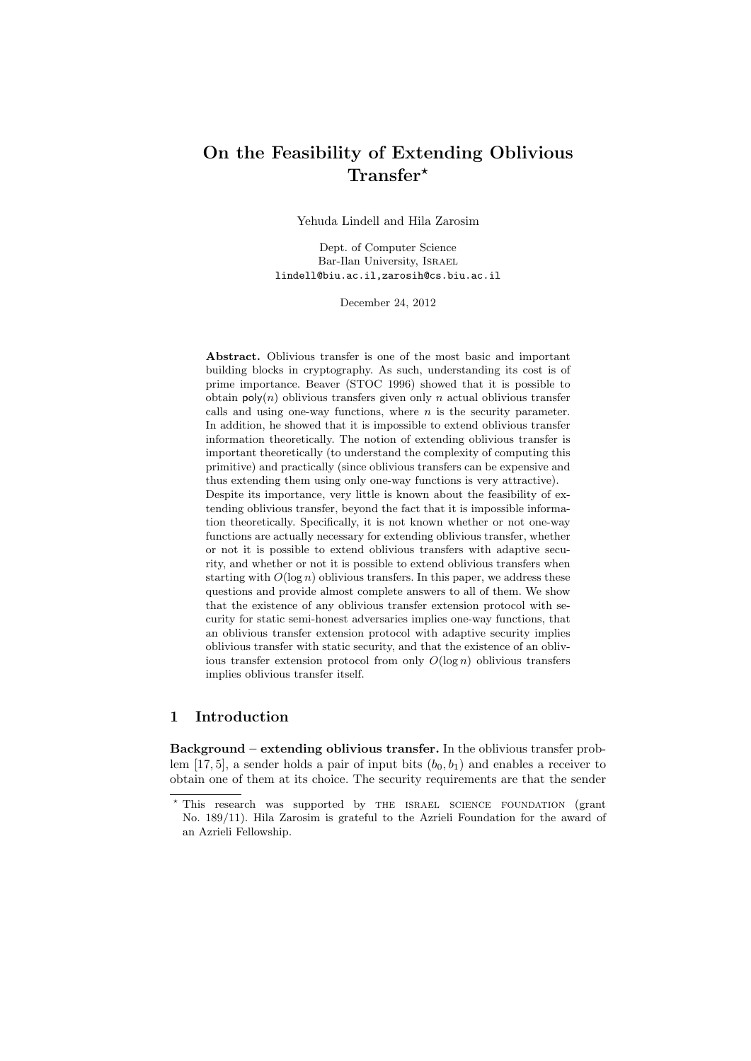# **On the Feasibility of Extending Oblivious Transfer***<sup>⋆</sup>*

Yehuda Lindell and Hila Zarosim

Dept. of Computer Science Bar-Ilan University, ISRAEL lindell@biu.ac.il,zarosih@cs.biu.ac.il

December 24, 2012

**Abstract.** Oblivious transfer is one of the most basic and important building blocks in cryptography. As such, understanding its cost is of prime importance. Beaver (STOC 1996) showed that it is possible to obtain  $poly(n)$  oblivious transfers given only *n* actual oblivious transfer calls and using one-way functions, where *n* is the security parameter. In addition, he showed that it is impossible to extend oblivious transfer information theoretically. The notion of extending oblivious transfer is important theoretically (to understand the complexity of computing this primitive) and practically (since oblivious transfers can be expensive and thus extending them using only one-way functions is very attractive). Despite its importance, very little is known about the feasibility of extending oblivious transfer, beyond the fact that it is impossible information theoretically. Specifically, it is not known whether or not one-way functions are actually necessary for extending oblivious transfer, whether or not it is possible to extend oblivious transfers with adaptive security, and whether or not it is possible to extend oblivious transfers when starting with  $O(\log n)$  oblivious transfers. In this paper, we address these questions and provide almost complete answers to all of them. We show that the existence of any oblivious transfer extension protocol with security for static semi-honest adversaries implies one-way functions, that an oblivious transfer extension protocol with adaptive security implies oblivious transfer with static security, and that the existence of an oblivious transfer extension protocol from only  $O(\log n)$  oblivious transfers implies oblivious transfer itself.

### **1 Introduction**

**Background – extending oblivious transfer.** In the oblivious transfer problem  $[17, 5]$ , a sender holds a pair of input bits  $(b_0, b_1)$  and enables a receiver to obtain one of them at its choice. The security requirements are that the sender

<sup>&</sup>lt;sup>\*</sup> This research was supported by THE ISRAEL SCIENCE FOUNDATION (grant No. 189/11). Hila Zarosim is grateful to the Azrieli Foundation for the award of an Azrieli Fellowship.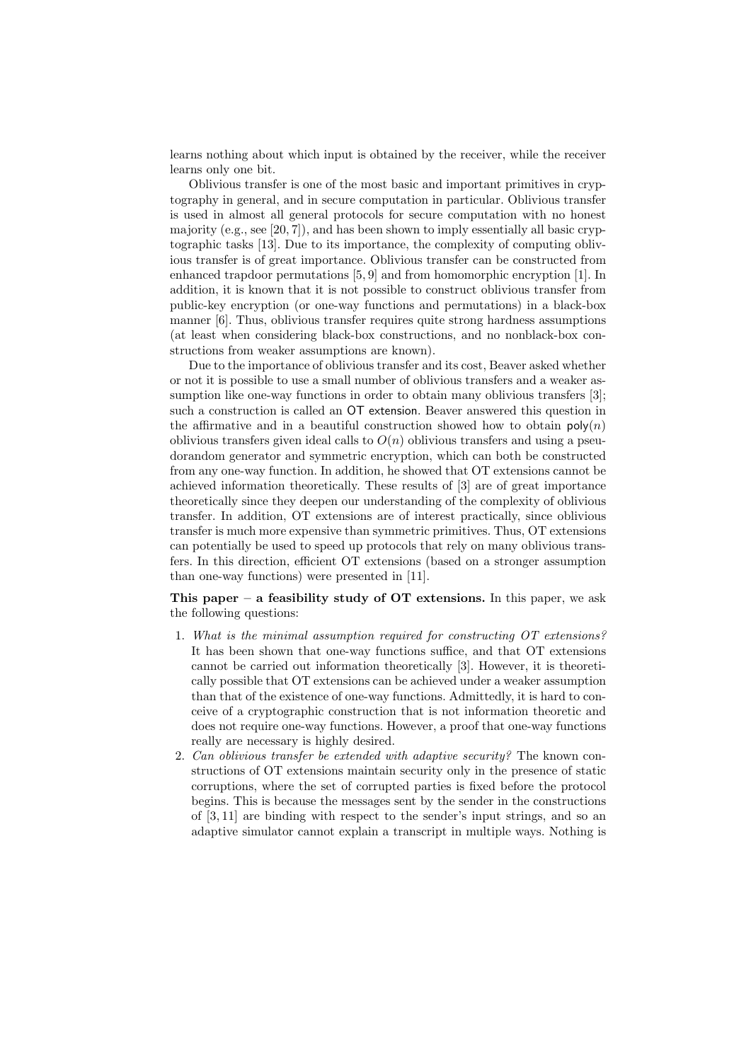learns nothing about which input is obtained by the receiver, while the receiver learns only one bit.

Oblivious transfer is one of the most basic and important primitives in cryptography in general, and in secure computation in particular. Oblivious transfer is used in almost all general protocols for secure computation with no honest majority (e.g., see [20, 7]), and has been shown to imply essentially all basic cryptographic tasks [13]. Due to its importance, the complexity of computing oblivious transfer is of great importance. Oblivious transfer can be constructed from enhanced trapdoor permutations [5, 9] and from homomorphic encryption [1]. In addition, it is known that it is not possible to construct oblivious transfer from public-key encryption (or one-way functions and permutations) in a black-box manner [6]. Thus, oblivious transfer requires quite strong hardness assumptions (at least when considering black-box constructions, and no nonblack-box constructions from weaker assumptions are known).

Due to the importance of oblivious transfer and its cost, Beaver asked whether or not it is possible to use a small number of oblivious transfers and a weaker assumption like one-way functions in order to obtain many oblivious transfers [3]; such a construction is called an OT extension. Beaver answered this question in the affirmative and in a beautiful construction showed how to obtain  $\text{poly}(n)$ oblivious transfers given ideal calls to  $O(n)$  oblivious transfers and using a pseudorandom generator and symmetric encryption, which can both be constructed from any one-way function. In addition, he showed that OT extensions cannot be achieved information theoretically. These results of [3] are of great importance theoretically since they deepen our understanding of the complexity of oblivious transfer. In addition, OT extensions are of interest practically, since oblivious transfer is much more expensive than symmetric primitives. Thus, OT extensions can potentially be used to speed up protocols that rely on many oblivious transfers. In this direction, efficient OT extensions (based on a stronger assumption than one-way functions) were presented in [11].

**This paper – a feasibility study of OT extensions.** In this paper, we ask the following questions:

- 1. *What is the minimal assumption required for constructing OT extensions?* It has been shown that one-way functions suffice, and that OT extensions cannot be carried out information theoretically [3]. However, it is theoretically possible that OT extensions can be achieved under a weaker assumption than that of the existence of one-way functions. Admittedly, it is hard to conceive of a cryptographic construction that is not information theoretic and does not require one-way functions. However, a proof that one-way functions really are necessary is highly desired.
- 2. *Can oblivious transfer be extended with adaptive security?* The known constructions of OT extensions maintain security only in the presence of static corruptions, where the set of corrupted parties is fixed before the protocol begins. This is because the messages sent by the sender in the constructions of [3, 11] are binding with respect to the sender's input strings, and so an adaptive simulator cannot explain a transcript in multiple ways. Nothing is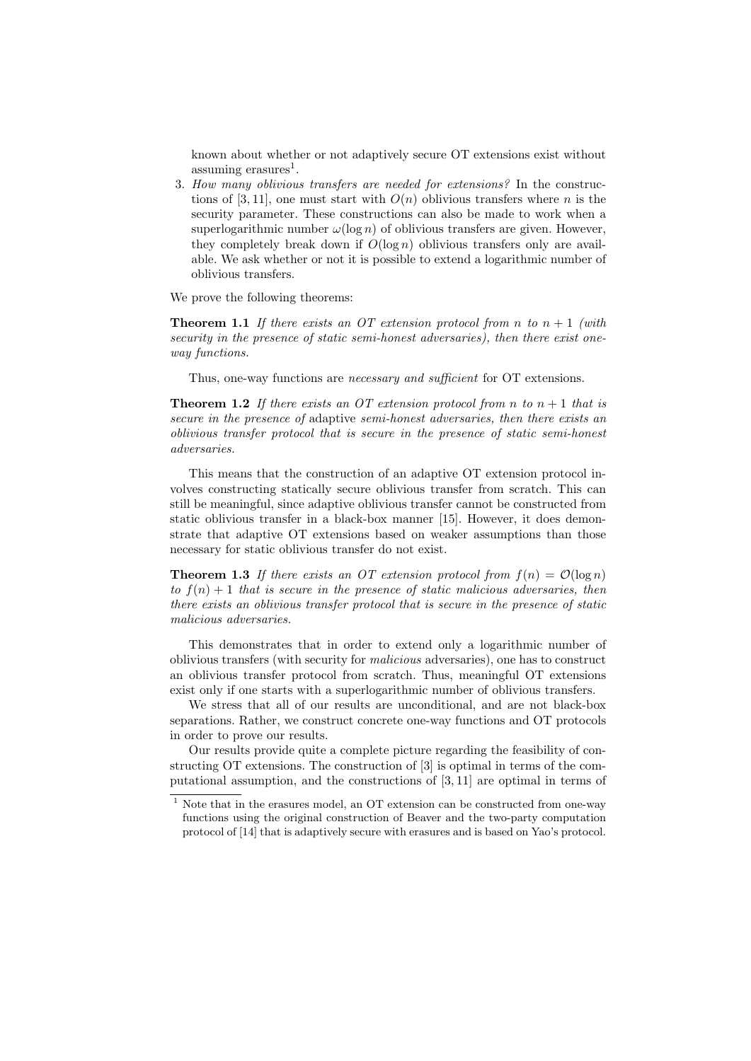known about whether or not adaptively secure OT extensions exist without assuming erasures<sup>1</sup>.

3. *How many oblivious transfers are needed for extensions?* In the constructions of [3, 11], one must start with  $O(n)$  oblivious transfers where *n* is the security parameter. These constructions can also be made to work when a superlogarithmic number  $\omega(\log n)$  of oblivious transfers are given. However, they completely break down if  $O(\log n)$  oblivious transfers only are available. We ask whether or not it is possible to extend a logarithmic number of oblivious transfers.

We prove the following theorems:

**Theorem 1.1** *If there exists an OT extension protocol from n to*  $n + 1$  *(with security in the presence of static semi-honest adversaries), then there exist oneway functions.*

Thus, one-way functions are *necessary and sufficient* for OT extensions.

**Theorem 1.2** If there exists an OT extension protocol from  $n$  to  $n + 1$  that is *secure in the presence of* adaptive *semi-honest adversaries, then there exists an oblivious transfer protocol that is secure in the presence of static semi-honest adversaries.*

This means that the construction of an adaptive OT extension protocol involves constructing statically secure oblivious transfer from scratch. This can still be meaningful, since adaptive oblivious transfer cannot be constructed from static oblivious transfer in a black-box manner [15]. However, it does demonstrate that adaptive OT extensions based on weaker assumptions than those necessary for static oblivious transfer do not exist.

**Theorem 1.3** If there exists an OT extension protocol from  $f(n) = \mathcal{O}(\log n)$  $to$   $f(n) + 1$  *that is secure in the presence of static malicious adversaries, then there exists an oblivious transfer protocol that is secure in the presence of static malicious adversaries.*

This demonstrates that in order to extend only a logarithmic number of oblivious transfers (with security for *malicious* adversaries), one has to construct an oblivious transfer protocol from scratch. Thus, meaningful OT extensions exist only if one starts with a superlogarithmic number of oblivious transfers.

We stress that all of our results are unconditional, and are not black-box separations. Rather, we construct concrete one-way functions and OT protocols in order to prove our results.

Our results provide quite a complete picture regarding the feasibility of constructing OT extensions. The construction of [3] is optimal in terms of the computational assumption, and the constructions of [3, 11] are optimal in terms of

<sup>&</sup>lt;sup>1</sup> Note that in the erasures model, an OT extension can be constructed from one-way functions using the original construction of Beaver and the two-party computation protocol of [14] that is adaptively secure with erasures and is based on Yao's protocol.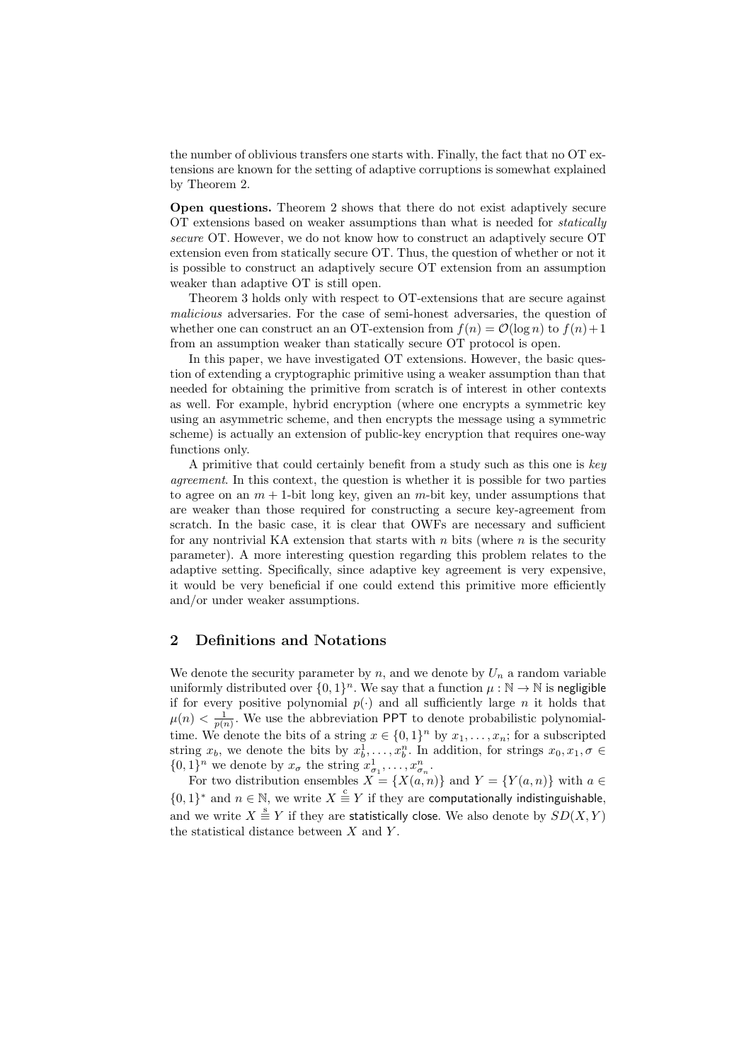the number of oblivious transfers one starts with. Finally, the fact that no OT extensions are known for the setting of adaptive corruptions is somewhat explained by Theorem 2.

**Open questions.** Theorem 2 shows that there do not exist adaptively secure OT extensions based on weaker assumptions than what is needed for *statically secure* OT. However, we do not know how to construct an adaptively secure OT extension even from statically secure OT. Thus, the question of whether or not it is possible to construct an adaptively secure OT extension from an assumption weaker than adaptive OT is still open.

Theorem 3 holds only with respect to OT-extensions that are secure against *malicious* adversaries. For the case of semi-honest adversaries, the question of whether one can construct an an OT-extension from  $f(n) = \mathcal{O}(\log n)$  to  $f(n)+1$ from an assumption weaker than statically secure OT protocol is open.

In this paper, we have investigated OT extensions. However, the basic question of extending a cryptographic primitive using a weaker assumption than that needed for obtaining the primitive from scratch is of interest in other contexts as well. For example, hybrid encryption (where one encrypts a symmetric key using an asymmetric scheme, and then encrypts the message using a symmetric scheme) is actually an extension of public-key encryption that requires one-way functions only.

A primitive that could certainly benefit from a study such as this one is *key agreement*. In this context, the question is whether it is possible for two parties to agree on an  $m + 1$ -bit long key, given an  $m$ -bit key, under assumptions that are weaker than those required for constructing a secure key-agreement from scratch. In the basic case, it is clear that OWFs are necessary and sufficient for any nontrivial KA extension that starts with *n* bits (where *n* is the security parameter). A more interesting question regarding this problem relates to the adaptive setting. Specifically, since adaptive key agreement is very expensive, it would be very beneficial if one could extend this primitive more efficiently and/or under weaker assumptions.

# **2 Definitions and Notations**

We denote the security parameter by  $n$ , and we denote by  $U_n$  a random variable uniformly distributed over  $\{0,1\}^n$ . We say that a function  $\mu : \mathbb{N} \to \mathbb{N}$  is negligible if for every positive polynomial  $p(\cdot)$  and all sufficiently large *n* it holds that  $\mu(n) < \frac{1}{p(n)}$ . We use the abbreviation PPT to denote probabilistic polynomialtime. We denote the bits of a string  $x \in \{0,1\}^n$  by  $x_1, \ldots, x_n$ ; for a subscripted string  $x_b$ , we denote the bits by  $x_b^1, \ldots, x_b^n$ . In addition, for strings  $x_0, x_1, \sigma \in$  $\{0,1\}$ <sup>*n*</sup> we denote by  $x_{\sigma}$  the string  $x_{\sigma_1}^1, \ldots, x_{\sigma_n}^n$ .

For two distribution ensembles  $X = \{X(a, n)\}\$ and  $Y = \{Y(a, n)\}\$ with  $a \in$  $\{0,1\}^*$  and  $n \in \mathbb{N}$ , we write  $X \stackrel{c}{\equiv} Y$  if they are computationally indistinguishable, and we write  $X \stackrel{s}{\equiv} Y$  if they are **statistically close**. We also denote by  $SD(X, Y)$ the statistical distance between *X* and *Y* .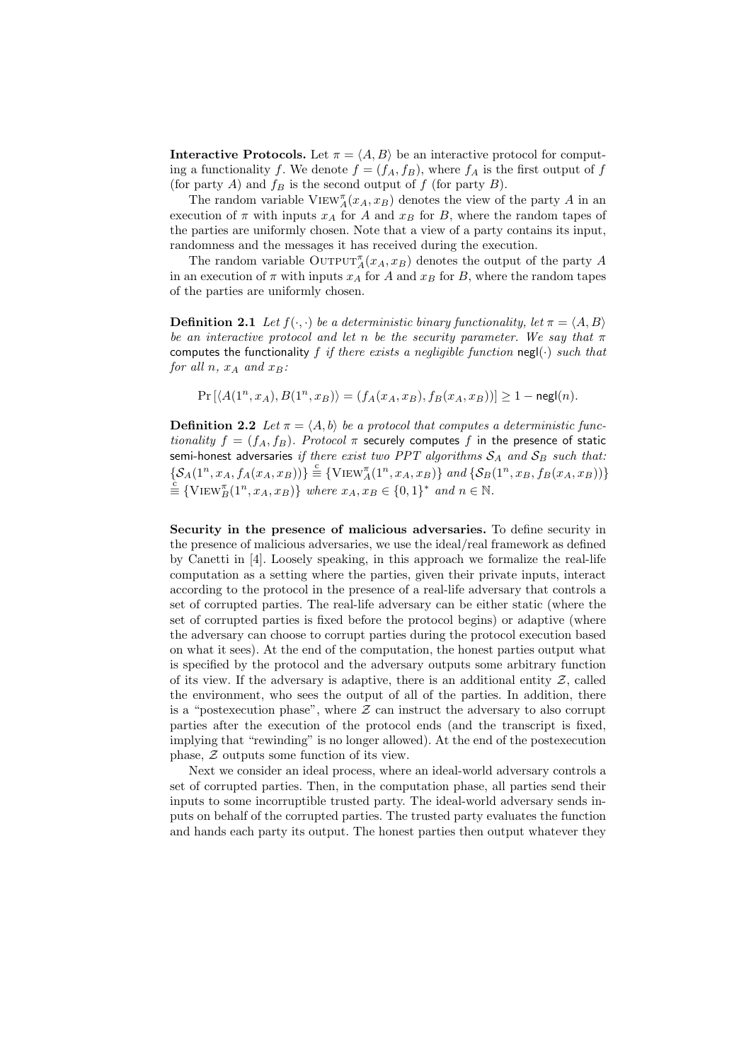**Interactive Protocols.** Let  $\pi = \langle A, B \rangle$  be an interactive protocol for computing a functionality *f*. We denote  $f = (f_A, f_B)$ , where  $f_A$  is the first output of *f* (for party  $A$ ) and  $f_B$  is the second output of  $f$  (for party  $B$ ).

The random variable  $VIEW_A^{\pi}(x_A, x_B)$  denotes the view of the party *A* in an execution of  $\pi$  with inputs  $x_A$  for *A* and  $x_B$  for *B*, where the random tapes of the parties are uniformly chosen. Note that a view of a party contains its input, randomness and the messages it has received during the execution.

The random variable  $\text{Output}\,\pi_A^{\pi}(x_A, x_B)$  denotes the output of the party *A* in an execution of  $\pi$  with inputs  $x_A$  for  $A$  and  $x_B$  for  $B$ , where the random tapes of the parties are uniformly chosen.

**Definition 2.1** *Let*  $f(\cdot, \cdot)$  *be a deterministic binary functionality, let*  $\pi = \langle A, B \rangle$ *be an interactive protocol and let n be the security parameter. We say that π* computes the functionality *f if there exists a negligible function* negl(*·*) *such that for all*  $n, x_A$  *and*  $x_B$ *:* 

$$
\Pr\left[\langle A(1^n, x_A), B(1^n, x_B) \rangle = (f_A(x_A, x_B), f_B(x_A, x_B)) \right] \ge 1 - \mathsf{negl}(n).
$$

**Definition 2.2** *Let*  $\pi = \langle A, b \rangle$  *be a protocol that computes a deterministic functionality*  $f = (f_A, f_B)$ *. Protocol*  $\pi$  securely computes  $f$  in the presence of static semi-honest adversaries *if there exist two PPT algorithms S<sup>A</sup> and S<sup>B</sup> such that:*  $\{\mathcal{S}_A(1^n, x_A, f_A(x_A, x_B))\}\stackrel{c}{=}\{\text{View}^{\pi}_A(1^n, x_A, x_B)\}\$ and  $\{\mathcal{S}_B(1^n, x_B, f_B(x_A, x_B))\}$  $\frac{c}{\equiv}$  {VIEW<sub>B</sub><sup> $\pi$ </sup><sub>B</sub>(1<sup>n</sup>, x<sub>A</sub>, x<sub>B</sub>)} *where*  $x_A, x_B \in \{0, 1\}^*$  *and*  $n \in \mathbb{N}$ .

**Security in the presence of malicious adversaries.** To define security in the presence of malicious adversaries, we use the ideal/real framework as defined by Canetti in [4]. Loosely speaking, in this approach we formalize the real-life computation as a setting where the parties, given their private inputs, interact according to the protocol in the presence of a real-life adversary that controls a set of corrupted parties. The real-life adversary can be either static (where the set of corrupted parties is fixed before the protocol begins) or adaptive (where the adversary can choose to corrupt parties during the protocol execution based on what it sees). At the end of the computation, the honest parties output what is specified by the protocol and the adversary outputs some arbitrary function of its view. If the adversary is adaptive, there is an additional entity  $Z$ , called the environment, who sees the output of all of the parties. In addition, there is a "postexecution phase", where  $Z$  can instruct the adversary to also corrupt parties after the execution of the protocol ends (and the transcript is fixed, implying that "rewinding" is no longer allowed). At the end of the postexecution phase, *Z* outputs some function of its view.

Next we consider an ideal process, where an ideal-world adversary controls a set of corrupted parties. Then, in the computation phase, all parties send their inputs to some incorruptible trusted party. The ideal-world adversary sends inputs on behalf of the corrupted parties. The trusted party evaluates the function and hands each party its output. The honest parties then output whatever they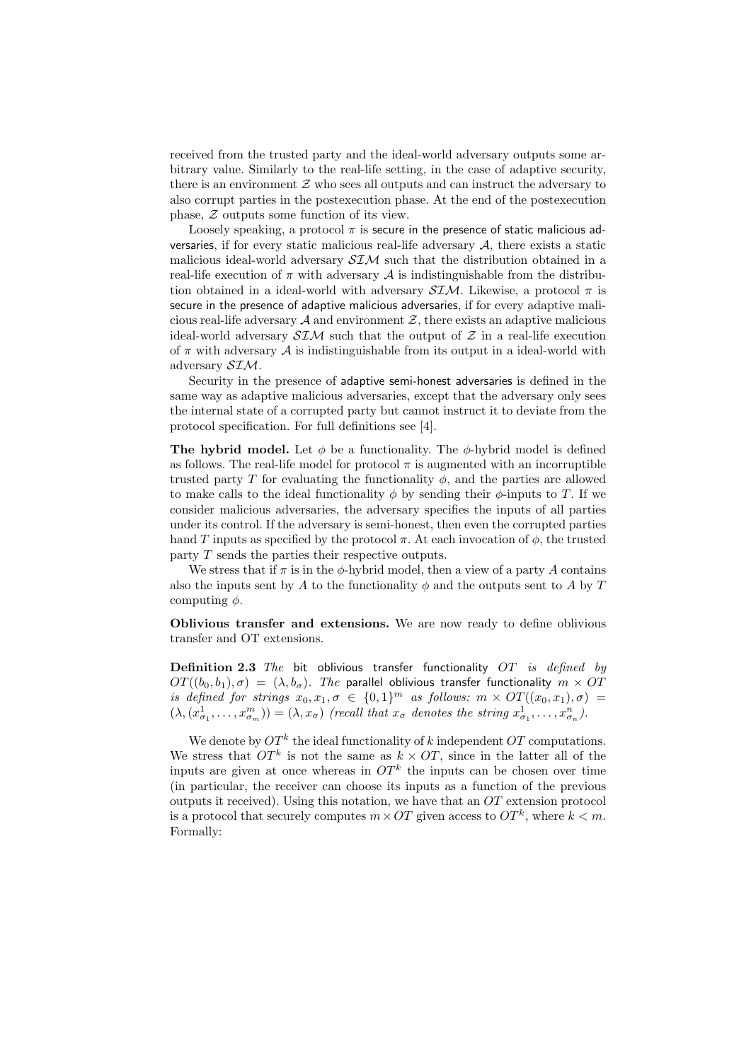received from the trusted party and the ideal-world adversary outputs some arbitrary value. Similarly to the real-life setting, in the case of adaptive security, there is an environment  $\mathcal Z$  who sees all outputs and can instruct the adversary to also corrupt parties in the postexecution phase. At the end of the postexecution phase, *Z* outputs some function of its view.

Loosely speaking, a protocol  $\pi$  is secure in the presence of static malicious adversaries, if for every static malicious real-life adversary  $A$ , there exists a static malicious ideal-world adversary *SIM* such that the distribution obtained in a real-life execution of  $\pi$  with adversary  $\mathcal A$  is indistinguishable from the distribution obtained in a ideal-world with adversary  $\mathcal{SIM}$ . Likewise, a protocol  $\pi$  is secure in the presence of adaptive malicious adversaries, if for every adaptive malicious real-life adversary  $\mathcal A$  and environment  $\mathcal Z$ , there exists an adaptive malicious ideal-world adversary *SIM* such that the output of *Z* in a real-life execution of  $\pi$  with adversary  $\mathcal A$  is indistinguishable from its output in a ideal-world with adversary *SIM*.

Security in the presence of adaptive semi-honest adversaries is defined in the same way as adaptive malicious adversaries, except that the adversary only sees the internal state of a corrupted party but cannot instruct it to deviate from the protocol specification. For full definitions see [4].

**The hybrid model.** Let *ϕ* be a functionality. The *ϕ*-hybrid model is defined as follows. The real-life model for protocol  $\pi$  is augmented with an incorruptible trusted party *T* for evaluating the functionality  $\phi$ , and the parties are allowed to make calls to the ideal functionality  $\phi$  by sending their  $\phi$ -inputs to *T*. If we consider malicious adversaries, the adversary specifies the inputs of all parties under its control. If the adversary is semi-honest, then even the corrupted parties hand *T* inputs as specified by the protocol  $\pi$ . At each invocation of  $\phi$ , the trusted party *T* sends the parties their respective outputs.

We stress that if  $\pi$  is in the  $\phi$ -hybrid model, then a view of a party *A* contains also the inputs sent by *A* to the functionality  $\phi$  and the outputs sent to *A* by *T* computing *ϕ*.

**Oblivious transfer and extensions.** We are now ready to define oblivious transfer and OT extensions.

**Definition 2.3** *The* bit oblivious transfer functionality *OT is defined by*  $OT((b_0, b_1), \sigma) = (\lambda, b_{\sigma})$ *. The* parallel oblivious transfer functionality  $m \times OT$ *is defined for strings*  $x_0, x_1, \sigma \in \{0, 1\}^m$  *as follows:*  $m \times OT((x_0, x_1), \sigma) =$  $(\lambda, (x_{\sigma_1}^1, \ldots, x_{\sigma_m}^m)) = (\lambda, x_{\sigma})$  (recall that  $x_{\sigma}$  denotes the string  $x_{\sigma_1}^1, \ldots, x_{\sigma_n}^n$ ).

We denote by  $OT<sup>k</sup>$  the ideal functionality of  $k$  independent  $OT$  computations. We stress that  $OT<sup>k</sup>$  is not the same as  $k \times OT$ , since in the latter all of the inputs are given at once whereas in  $OT<sup>k</sup>$  the inputs can be chosen over time (in particular, the receiver can choose its inputs as a function of the previous outputs it received). Using this notation, we have that an *OT* extension protocol is a protocol that securely computes  $m \times OT$  given access to  $OT<sup>k</sup>$ , where  $k < m$ . Formally: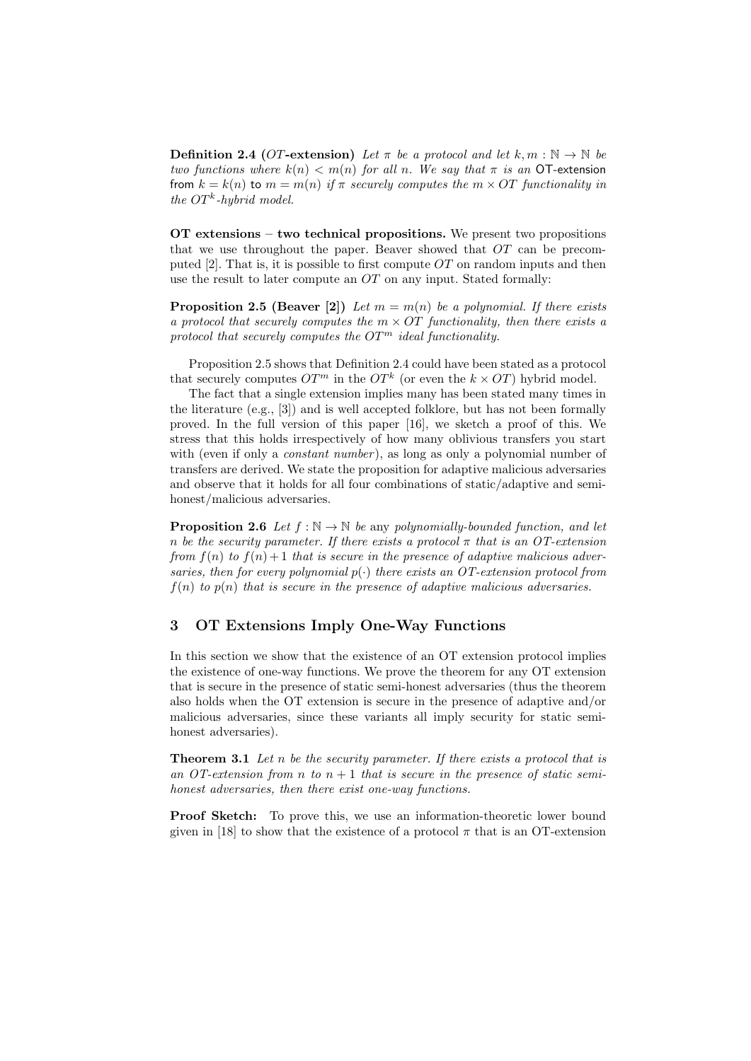**Definition 2.4** (*OT*-extension) Let  $\pi$  be a protocol and let  $k, m : \mathbb{N} \to \mathbb{N}$  be *two functions where*  $k(n) < m(n)$  *for all n.* We say that  $\pi$  *is an* OT-extension from  $k = k(n)$  to  $m = m(n)$  if  $\pi$  securely computes the  $m \times OT$  functionality in *the*  $OT^k$ -*hybrid* model.

**OT extensions – two technical propositions.** We present two propositions that we use throughout the paper. Beaver showed that *OT* can be precomputed [2]. That is, it is possible to first compute *OT* on random inputs and then use the result to later compute an *OT* on any input. Stated formally:

**Proposition 2.5 (Beaver [2])** Let  $m = m(n)$  be a polynomial. If there exists *a protocol that securely computes the m × OT functionality, then there exists a* protocol that securely computes the  $OT^m$  *ideal functionality.* 

Proposition 2.5 shows that Definition 2.4 could have been stated as a protocol that securely computes  $OT^m$  in the  $OT^k$  (or even the  $k \times OT$ ) hybrid model.

The fact that a single extension implies many has been stated many times in the literature (e.g., [3]) and is well accepted folklore, but has not been formally proved. In the full version of this paper [16], we sketch a proof of this. We stress that this holds irrespectively of how many oblivious transfers you start with (even if only a *constant number*), as long as only a polynomial number of transfers are derived. We state the proposition for adaptive malicious adversaries and observe that it holds for all four combinations of static/adaptive and semihonest/malicious adversaries.

**Proposition 2.6** *Let*  $f : \mathbb{N} \to \mathbb{N}$  *be* any *polynomially-bounded function, and let n be the security parameter. If there exists a protocol π that is an OT-extension from*  $f(n)$  *to*  $f(n)+1$  *that is secure in the presence of adaptive malicious adversaries, then for every polynomial p*(*·*) *there exists an OT-extension protocol from*  $f(n)$  *to*  $p(n)$  *that is secure in the presence of adaptive malicious adversaries.* 

# **3 OT Extensions Imply One-Way Functions**

In this section we show that the existence of an OT extension protocol implies the existence of one-way functions. We prove the theorem for any OT extension that is secure in the presence of static semi-honest adversaries (thus the theorem also holds when the OT extension is secure in the presence of adaptive and/or malicious adversaries, since these variants all imply security for static semihonest adversaries).

**Theorem 3.1** *Let n be the security parameter. If there exists a protocol that is* an OT-extension from *n* to  $n + 1$  that is secure in the presence of static semi*honest adversaries, then there exist one-way functions.*

**Proof Sketch:** To prove this, we use an information-theoretic lower bound given in [18] to show that the existence of a protocol  $\pi$  that is an OT-extension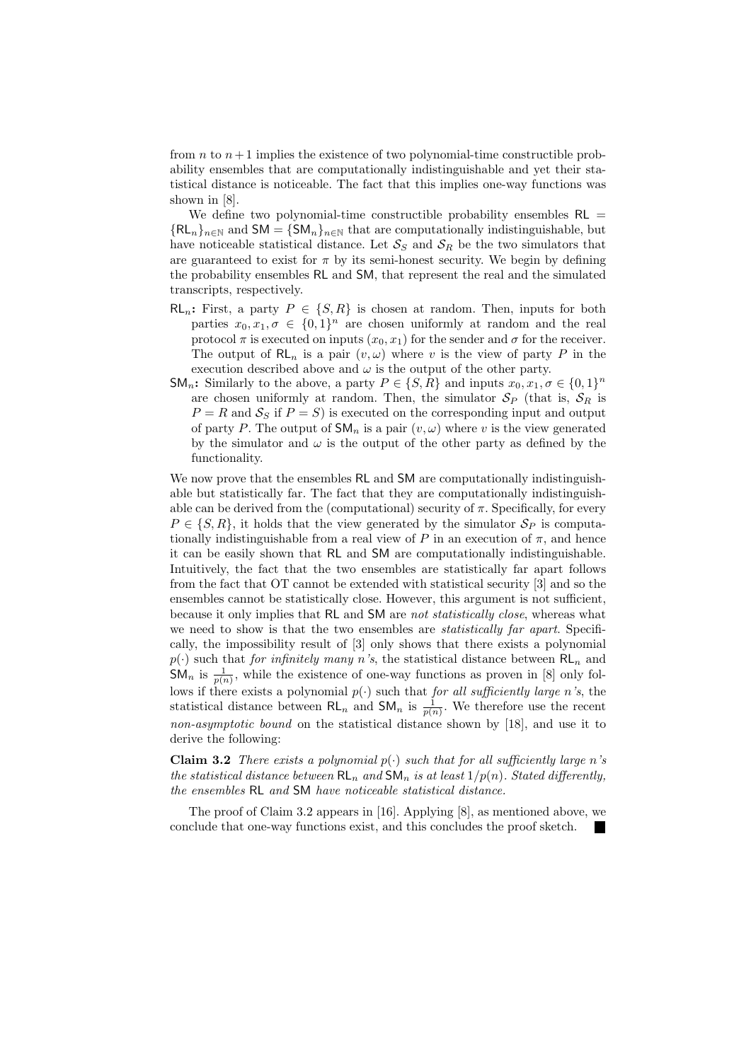from *n* to  $n+1$  implies the existence of two polynomial-time constructible probability ensembles that are computationally indistinguishable and yet their statistical distance is noticeable. The fact that this implies one-way functions was shown in [8].

We define two polynomial-time constructible probability ensembles  $RL =$  ${RL_n}_{n \in \mathbb{N}}$  and  ${SM} = {SM_n}_{n \in \mathbb{N}}$  that are computationally indistinguishable, but have noticeable statistical distance. Let  $S_S$  and  $S_R$  be the two simulators that are guaranteed to exist for  $\pi$  by its semi-honest security. We begin by defining the probability ensembles RL and SM, that represent the real and the simulated transcripts, respectively.

- RL<sub>n</sub>: First, a party  $P \in \{S, R\}$  is chosen at random. Then, inputs for both parties  $x_0, x_1, \sigma \in \{0, 1\}^n$  are chosen uniformly at random and the real protocol  $\pi$  is executed on inputs  $(x_0, x_1)$  for the sender and  $\sigma$  for the receiver. The output of  $\mathsf{RL}_n$  is a pair  $(v, \omega)$  where *v* is the view of party *P* in the execution described above and  $\omega$  is the output of the other party.
- SM<sub>n</sub>: Similarly to the above, a party  $P \in \{S, R\}$  and inputs  $x_0, x_1, \sigma \in \{0, 1\}^n$ are chosen uniformly at random. Then, the simulator  $S_P$  (that is,  $S_R$  is  $P = R$  and  $S_S$  if  $P = S$ ) is executed on the corresponding input and output of party *P*. The output of  $\mathsf{SM}_n$  is a pair  $(v, \omega)$  where *v* is the view generated by the simulator and  $\omega$  is the output of the other party as defined by the functionality.

We now prove that the ensembles RL and SM are computationally indistinguishable but statistically far. The fact that they are computationally indistinguishable can be derived from the (computational) security of  $\pi$ . Specifically, for every  $P \in \{S, R\}$ , it holds that the view generated by the simulator  $S_P$  is computationally indistinguishable from a real view of  $P$  in an execution of  $\pi$ , and hence it can be easily shown that RL and SM are computationally indistinguishable. Intuitively, the fact that the two ensembles are statistically far apart follows from the fact that OT cannot be extended with statistical security [3] and so the ensembles cannot be statistically close. However, this argument is not sufficient, because it only implies that RL and SM are *not statistically close*, whereas what we need to show is that the two ensembles are *statistically far apart*. Specifically, the impossibility result of [3] only shows that there exists a polynomial  $p(\cdot)$  such that *for infinitely many n*<sup>'s</sup>, the statistical distance between  $\mathsf{RL}_n$  and  $SM_n$  is  $\frac{1}{p(n)}$ , while the existence of one-way functions as proven in [8] only follows if there exists a polynomial  $p(\cdot)$  such that *for all sufficiently large n*'s, the statistical distance between  $\mathsf{RL}_n$  and  $\mathsf{SM}_n$  is  $\frac{1}{p(n)}$ . We therefore use the recent *non-asymptotic bound* on the statistical distance shown by [18], and use it to derive the following:

**Claim 3.2** *There exists a polynomial*  $p(\cdot)$  *such that for all sufficiently large n*'s *the statistical distance between*  $\mathsf{RL}_n$  *and*  $\mathsf{SM}_n$  *is at least*  $1/p(n)$ *. Stated differently, the ensembles* RL *and* SM *have noticeable statistical distance.*

The proof of Claim 3.2 appears in [16]. Applying [8], as mentioned above, we conclude that one-way functions exist, and this concludes the proof sketch.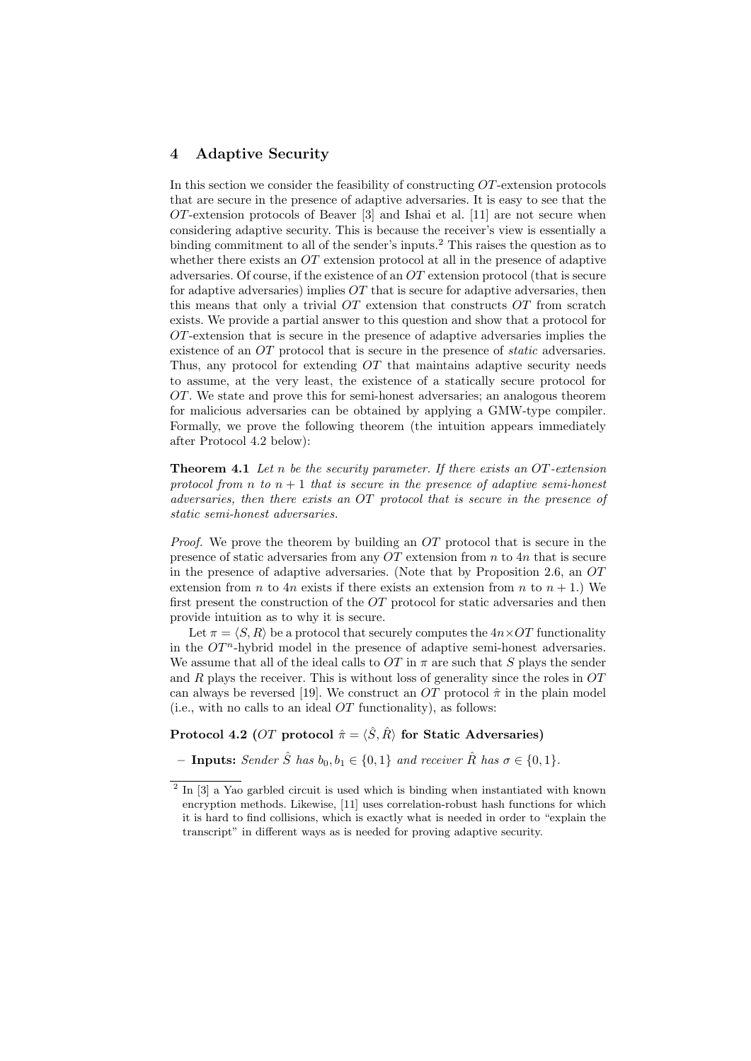# **4 Adaptive Security**

In this section we consider the feasibility of constructing *OT*-extension protocols that are secure in the presence of adaptive adversaries. It is easy to see that the *OT*-extension protocols of Beaver [3] and Ishai et al. [11] are not secure when considering adaptive security. This is because the receiver's view is essentially a binding commitment to all of the sender's inputs.<sup>2</sup> This raises the question as to whether there exists an  $OT$  extension protocol at all in the presence of adaptive adversaries. Of course, if the existence of an *OT* extension protocol (that is secure for adaptive adversaries) implies *OT* that is secure for adaptive adversaries, then this means that only a trivial *OT* extension that constructs *OT* from scratch exists. We provide a partial answer to this question and show that a protocol for *OT*-extension that is secure in the presence of adaptive adversaries implies the existence of an *OT* protocol that is secure in the presence of *static* adversaries. Thus, any protocol for extending *OT* that maintains adaptive security needs to assume, at the very least, the existence of a statically secure protocol for *OT*. We state and prove this for semi-honest adversaries; an analogous theorem for malicious adversaries can be obtained by applying a GMW-type compiler. Formally, we prove the following theorem (the intuition appears immediately after Protocol 4.2 below):

**Theorem 4.1** *Let n be the security parameter. If there exists an OT-extension* protocol from *n* to  $n+1$  that is secure in the presence of adaptive semi-honest *adversaries, then there exists an OT protocol that is secure in the presence of static semi-honest adversaries.*

*Proof.* We prove the theorem by building an *OT* protocol that is secure in the presence of static adversaries from any *OT* extension from *n* to 4*n* that is secure in the presence of adaptive adversaries. (Note that by Proposition 2.6, an *OT* extension from *n* to 4*n* exists if there exists an extension from *n* to  $n + 1$ .) We first present the construction of the *OT* protocol for static adversaries and then provide intuition as to why it is secure.

Let  $\pi = \langle S, R \rangle$  be a protocol that securely computes the  $4n \times OT$  functionality in the  $OT<sup>n</sup>$ -hybrid model in the presence of adaptive semi-honest adversaries. We assume that all of the ideal calls to  $OT$  in  $\pi$  are such that *S* plays the sender and *R* plays the receiver. This is without loss of generality since the roles in *OT* can always be reversed [19]. We construct an  $OT$  protocol  $\hat{\pi}$  in the plain model (i.e., with no calls to an ideal *OT* functionality), as follows:

# **Protocol 4.2** (*OT* protocol  $\hat{\pi} = \langle \hat{S}, \hat{R} \rangle$  for Static Adversaries)

 $\mathbf{I}$  **Inputs:** Sender  $\hat{S}$  has  $b_0, b_1 \in \{0, 1\}$  and receiver  $\hat{R}$  has  $\sigma \in \{0, 1\}$ .

<sup>&</sup>lt;sup>2</sup> In [3] a Yao garbled circuit is used which is binding when instantiated with known encryption methods. Likewise, [11] uses correlation-robust hash functions for which it is hard to find collisions, which is exactly what is needed in order to "explain the transcript" in different ways as is needed for proving adaptive security.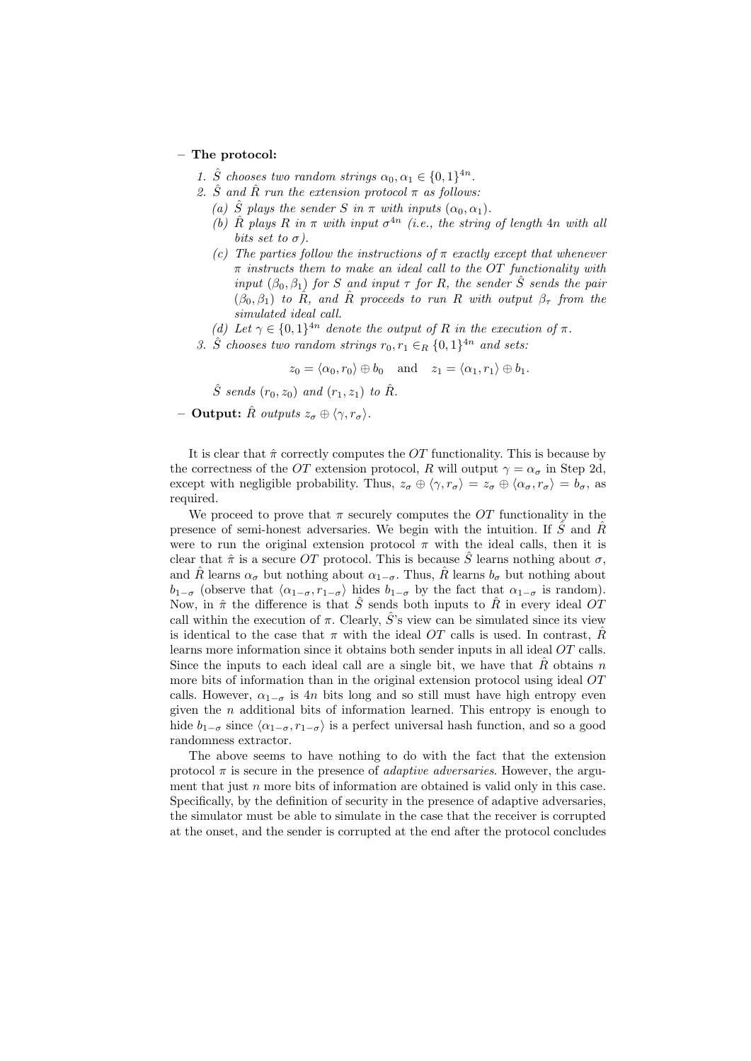#### **– The protocol:**

- *1.*  $\hat{S}$  *chooses two random strings*  $\alpha_0, \alpha_1 \in \{0, 1\}^{4n}$ *.*
- 2.  $\hat{S}$  *and*  $\hat{R}$  *run the extension protocol*  $\pi$  *as follows:* 
	- *(a)*  $\hat{S}$  *plays the sender*  $S$  *in*  $\pi$  *with inputs*  $(\alpha_0, \alpha_1)$ *.*
	- $\hat{R}$  *plays*  $R$  *in*  $\pi$  *with input*  $\sigma^{4n}$  *(i.e., the string of length* 4*n with all bits set to*  $\sigma$ *).*
	- *(c)* The parties follow the instructions of  $\pi$  exactly except that whenever *π instructs them to make an ideal call to the OT functionality with input*  $(\beta_0, \beta_1)$  *for S and input*  $\tau$  *for R, the sender*  $\hat{S}$  *sends the pair*  $(\beta_0, \beta_1)$  *to*  $\hat{R}$ *, and*  $\hat{R}$  *proceeds to run*  $R$  *with output*  $\beta_{\tau}$  *from the simulated ideal call.*
- *(d) Let*  $\gamma \in \{0,1\}^{4n}$  *denote the output of R in the execution of*  $\pi$ *.*
- *3.*  $\hat{S}$  *chooses two random strings*  $r_0, r_1 \in_R \{0, 1\}^{4n}$  *and sets:*

 $z_0 = \langle \alpha_0, r_0 \rangle \oplus b_0$  and  $z_1 = \langle \alpha_1, r_1 \rangle \oplus b_1$ .

 $\hat{S}$  *sends*  $(r_0, z_0)$  *and*  $(r_1, z_1)$  *to*  $\hat{R}$ *.* 

 $-$  **Output:**  $\hat{R}$  *outputs*  $z_{\sigma} \oplus \langle \gamma, r_{\sigma} \rangle$ *.* 

It is clear that  $\hat{\pi}$  correctly computes the *OT* functionality. This is because by the correctness of the *OT* extension protocol, *R* will output  $\gamma = \alpha_{\sigma}$  in Step 2d, except with negligible probability. Thus,  $z_{\sigma} \oplus \langle \gamma, r_{\sigma} \rangle = z_{\sigma} \oplus \langle \alpha_{\sigma}, r_{\sigma} \rangle = b_{\sigma}$ , as required.

We proceed to prove that  $\pi$  securely computes the *OT* functionality in the presence of semi-honest adversaries. We begin with the intuition. If *S*ˆ and *R*ˆ were to run the original extension protocol  $\pi$  with the ideal calls, then it is clear that  $\hat{\pi}$  is a secure *OT* protocol. This is because  $\hat{S}$  learns nothing about  $\sigma$ , and  $\hat{R}$  learns  $\alpha_{\sigma}$  but nothing about  $\alpha_{1-\sigma}$ . Thus,  $\hat{R}$  learns  $b_{\sigma}$  but nothing about *b*<sub>1</sub><sup>*−σ*</sup> (observe that  $\langle \alpha_{1-\sigma}, r_{1-\sigma} \rangle$  hides  $b_{1-\sigma}$  by the fact that  $\alpha_{1-\sigma}$  is random). Now, in  $\hat{\pi}$  the difference is that  $\hat{S}$  sends both inputs to  $\hat{R}$  in every ideal OT call within the execution of  $\pi$ . Clearly,  $\hat{S}$ 's view can be simulated since its view is identical to the case that  $\pi$  with the ideal *OT* calls is used. In contrast,  $\hat{R}$ learns more information since it obtains both sender inputs in all ideal *OT* calls. Since the inputs to each ideal call are a single bit, we have that  $\hat{R}$  obtains  $n$ more bits of information than in the original extension protocol using ideal *OT* calls. However,  $\alpha_{1-\sigma}$  is 4*n* bits long and so still must have high entropy even given the *n* additional bits of information learned. This entropy is enough to hide  $b_{1-\sigma}$  since  $\langle \alpha_{1-\sigma}, r_{1-\sigma} \rangle$  is a perfect universal hash function, and so a good randomness extractor.

The above seems to have nothing to do with the fact that the extension protocol *π* is secure in the presence of *adaptive adversaries*. However, the argument that just *n* more bits of information are obtained is valid only in this case. Specifically, by the definition of security in the presence of adaptive adversaries, the simulator must be able to simulate in the case that the receiver is corrupted at the onset, and the sender is corrupted at the end after the protocol concludes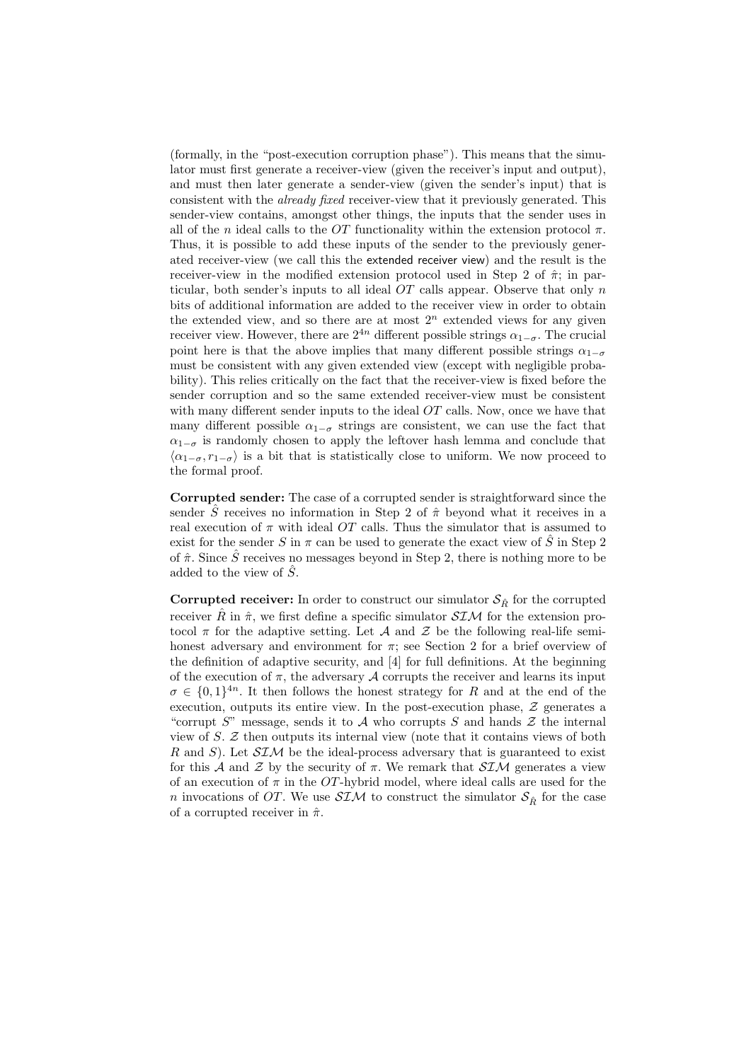(formally, in the "post-execution corruption phase"). This means that the simulator must first generate a receiver-view (given the receiver's input and output), and must then later generate a sender-view (given the sender's input) that is consistent with the *already fixed* receiver-view that it previously generated. This sender-view contains, amongst other things, the inputs that the sender uses in all of the *n* ideal calls to the *OT* functionality within the extension protocol  $\pi$ . Thus, it is possible to add these inputs of the sender to the previously generated receiver-view (we call this the extended receiver view) and the result is the receiver-view in the modified extension protocol used in Step 2 of  $\hat{\pi}$ ; in particular, both sender's inputs to all ideal *OT* calls appear. Observe that only *n* bits of additional information are added to the receiver view in order to obtain the extended view, and so there are at most  $2^n$  extended views for any given receiver view. However, there are  $2^{4n}$  different possible strings  $\alpha_{1-\sigma}$ . The crucial point here is that the above implies that many different possible strings  $\alpha_{1-\sigma}$ must be consistent with any given extended view (except with negligible probability). This relies critically on the fact that the receiver-view is fixed before the sender corruption and so the same extended receiver-view must be consistent with many different sender inputs to the ideal *OT* calls. Now, once we have that many different possible  $\alpha_{1-\sigma}$  strings are consistent, we can use the fact that  $a_{1-\sigma}$  is randomly chosen to apply the leftover hash lemma and conclude that  $\langle \alpha_{1-\sigma}, r_{1-\sigma} \rangle$  is a bit that is statistically close to uniform. We now proceed to the formal proof.

**Corrupted sender:** The case of a corrupted sender is straightforward since the sender *S*ˆ receives no information in Step 2 of ˆ*π* beyond what it receives in a real execution of  $\pi$  with ideal  $OT$  calls. Thus the simulator that is assumed to exist for the sender *S* in  $\pi$  can be used to generate the exact view of  $\hat{S}$  in Step 2 of  $\hat{\pi}$ . Since  $\hat{S}$  receives no messages beyond in Step 2, there is nothing more to be added to the view of *S*ˆ.

**Corrupted receiver:** In order to construct our simulator  $S_{\hat{R}}$  for the corrupted receiver  $\hat{R}$  in  $\hat{\pi}$ , we first define a specific simulator  $\mathcal{SIM}$  for the extension protocol  $\pi$  for the adaptive setting. Let  $\mathcal A$  and  $\mathcal Z$  be the following real-life semihonest adversary and environment for  $\pi$ ; see Section 2 for a brief overview of the definition of adaptive security, and [4] for full definitions. At the beginning of the execution of  $\pi$ , the adversary  $\mathcal A$  corrupts the receiver and learns its input  $\sigma \in \{0,1\}^{4n}$ . It then follows the honest strategy for *R* and at the end of the execution, outputs its entire view. In the post-execution phase, *Z* generates a "corrupt *S*" message, sends it to *A* who corrupts *S* and hands *Z* the internal view of *S*. *Z* then outputs its internal view (note that it contains views of both *R* and *S*). Let *SIM* be the ideal-process adversary that is guaranteed to exist for this *A* and *Z* by the security of *π*. We remark that *SIM* generates a view of an execution of  $\pi$  in the *OT*-hybrid model, where ideal calls are used for the *n* invocations of *OT*. We use *SIM* to construct the simulator  $S_{\hat{R}}$  for the case of a corrupted receiver in ˆ*π*.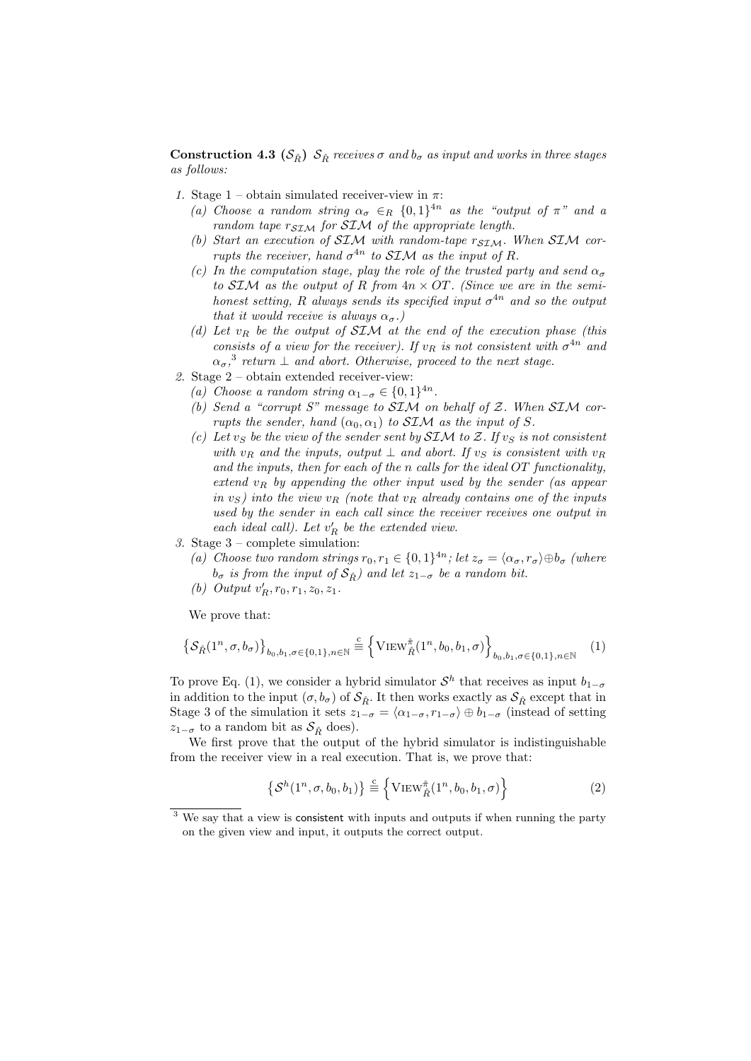**Construction 4.3**  $(S_{\hat{R}})$   $S_{\hat{R}}$  receives  $\sigma$  and  $b_{\sigma}$  as input and works in three stages *as follows:*

- *1.* Stage 1 obtain simulated receiver-view in  $\pi$ :
	- *(a) Choose a random string*  $\alpha_{\sigma} \in_R \{0,1\}^{4n}$  *as the "output of*  $\pi$ " *and a random tape rSIM for SIM of the appropriate length.*
	- *(b) Start an execution of SIM with random-tape rSIM. When SIM corrupts the receiver, hand*  $\sigma^{4n}$  *to SIM as the input of R.*
	- *(c)* In the computation stage, play the role of the trusted party and send  $\alpha_{\sigma}$  $to$  *SIM* as the output of R from  $4n \times OT$ . (Since we are in the semi*honest setting, R always sends its specified input*  $\sigma^{4n}$  *and so the output that it would receive is always*  $\alpha_{\sigma}$ *.*)
	- *(d) Let v<sup>R</sup> be the output of SIM at the end of the execution phase (this consists of a view for the receiver). If*  $v_R$  *is not consistent with*  $\sigma^{4n}$  *and*  $\alpha_{\sigma}$ <sup>3</sup> *return*  $\perp$  *and abort. Otherwise, proceed to the next stage.*
- *2.* Stage 2 obtain extended receiver-view:
	- *(a) Choose a random string*  $\alpha_{1-\sigma} \in \{0,1\}^{4n}$ *.*
	- *(b) Send a "corrupt S" message to SIM on behalf of Z. When SIM corrupts the sender, hand*  $(\alpha_0, \alpha_1)$  *to SIM as the input of S.*
	- *(c)* Let  $v_S$  be the view of the sender sent by SIM to Z. If  $v_S$  is not consistent *with*  $v_R$  *and the inputs, output*  $\perp$  *and abort. If*  $v_S$  *is consistent with*  $v_R$ *and the inputs, then for each of the n calls for the ideal OT functionality, extend v<sup>R</sup> by appending the other input used by the sender (as appear in vS) into the view v<sup>R</sup> (note that v<sup>R</sup> already contains one of the inputs used by the sender in each call since the receiver receives one output in each ideal call). Let*  $v'_R$  *be the extended view.*
- *3.* Stage 3 complete simulation:
	- *(a) Choose two random strings*  $r_0, r_1 \in \{0, 1\}^{4n}$ ; *let*  $z_\sigma = \langle \alpha_\sigma, r_\sigma \rangle \oplus b_\sigma$  *(where*  $b_{\sigma}$  *is from the input of*  $S_{\hat{B}}$ *) and let*  $z_{1-\sigma}$  *be a random bit.*
	- (b) *Output*  $v'_R$ *, r*<sub>0</sub>*, r*<sub>1</sub>*, z*<sub>0</sub>*, z*<sub>1</sub>*.*

We prove that:

$$
\left\{ \mathcal{S}_{\hat{R}}(1^n, \sigma, b_{\sigma}) \right\}_{b_0, b_1, \sigma \in \{0, 1\}, n \in \mathbb{N}} \stackrel{c}{=} \left\{ \mathrm{VIEW}_{\hat{R}}^{\hat{\pi}}(1^n, b_0, b_1, \sigma) \right\}_{b_0, b_1, \sigma \in \{0, 1\}, n \in \mathbb{N}} \tag{1}
$$

To prove Eq. (1), we consider a hybrid simulator  $S<sup>h</sup>$  that receives as input  $b<sub>1-\sigma</sub>$ in addition to the input  $(\sigma, b_{\sigma})$  of  $S_{\hat{R}}$ . It then works exactly as  $S_{\hat{R}}$  except that in Stage 3 of the simulation it sets  $z_{1-\sigma} = \langle \alpha_{1-\sigma}, r_{1-\sigma} \rangle \oplus b_{1-\sigma}$  (instead of setting  $z_{1-\sigma}$  to a random bit as  $S_{\hat{R}}$  does).

We first prove that the output of the hybrid simulator is indistinguishable from the receiver view in a real execution. That is, we prove that:

$$
\left\{ \mathcal{S}^{h}(1^{n}, \sigma, b_{0}, b_{1}) \right\} \stackrel{c}{\equiv} \left\{ \mathrm{VIEW}_{\hat{R}}^{\hat{\pi}}(1^{n}, b_{0}, b_{1}, \sigma) \right\} \tag{2}
$$

<sup>&</sup>lt;sup>3</sup> We say that a view is consistent with inputs and outputs if when running the party on the given view and input, it outputs the correct output.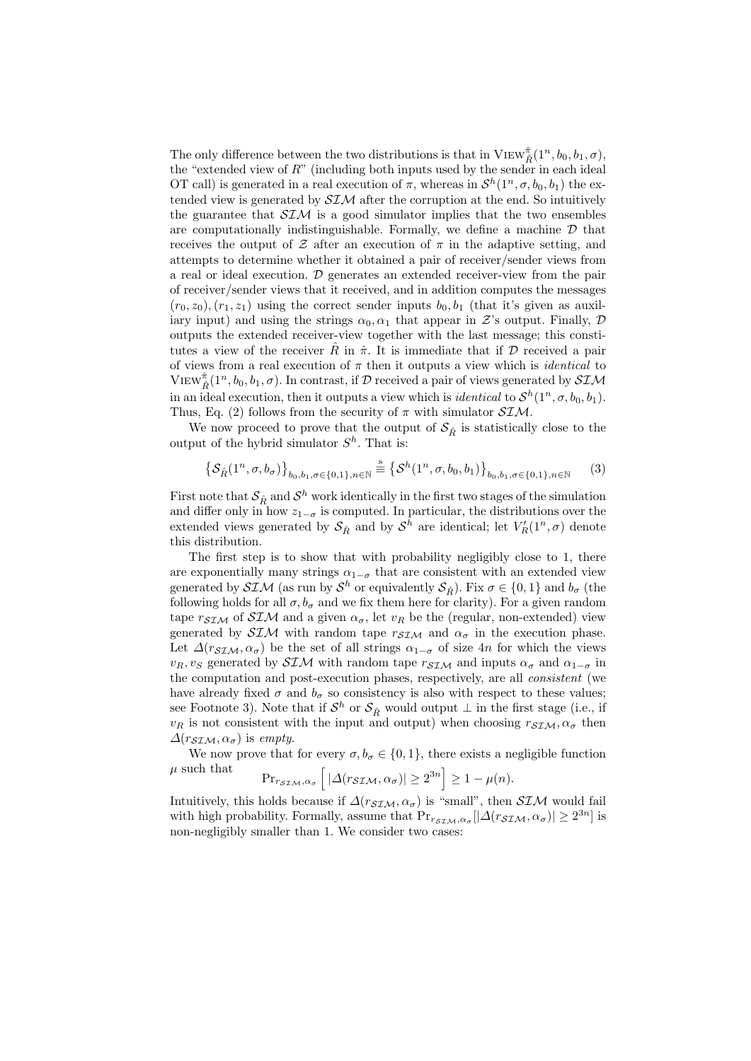The only difference between the two distributions is that in  $VIEW^{\hat{\pi}}_{\hat{R}}(1^n, b_0, b_1, \sigma)$ , the "extended view of *R*" (including both inputs used by the sender in each ideal OT call) is generated in a real execution of  $\pi$ , whereas in  $\mathcal{S}^h(1^n, \sigma, b_0, b_1)$  the extended view is generated by *SIM* after the corruption at the end. So intuitively the guarantee that  $SIM$  is a good simulator implies that the two ensembles are computationally indistinguishable. Formally, we define a machine *D* that receives the output of  $Z$  after an execution of  $\pi$  in the adaptive setting, and attempts to determine whether it obtained a pair of receiver/sender views from a real or ideal execution. *D* generates an extended receiver-view from the pair of receiver/sender views that it received, and in addition computes the messages  $(r_0, z_0)$ ,  $(r_1, z_1)$  using the correct sender inputs  $b_0, b_1$  (that it's given as auxiliary input) and using the strings  $\alpha_0, \alpha_1$  that appear in  $\mathcal{Z}$ 's output. Finally,  $\mathcal{D}$ outputs the extended receiver-view together with the last message; this constitutes a view of the receiver  $\hat{R}$  in  $\hat{\pi}$ . It is immediate that if  $\mathcal D$  received a pair of views from a real execution of *π* then it outputs a view which is *identical* to  $V$ IEW $^{\hat{\pi}}_{\hat{R}}(1^n, b_0, b_1, \sigma)$ . In contrast, if  $\mathcal D$  received a pair of views generated by  $\mathcal{SIM}$ in an ideal execution, then it outputs a view which is *identical* to  $S^h(1^n, \sigma, b_0, b_1)$ . Thus, Eq. (2) follows from the security of *π* with simulator *SIM*.

We now proceed to prove that the output of  $S_{\hat{R}}$  is statistically close to the output of the hybrid simulator *S h* . That is:

$$
\left\{ \mathcal{S}_{\hat{R}}(1^n, \sigma, b_{\sigma}) \right\}_{b_0, b_1, \sigma \in \{0, 1\}, n \in \mathbb{N}} \stackrel{\text{s}}{=} \left\{ \mathcal{S}^h(1^n, \sigma, b_0, b_1) \right\}_{b_0, b_1, \sigma \in \{0, 1\}, n \in \mathbb{N}} \tag{3}
$$

First note that  $\mathcal{S}_{\hat{R}}$  and  $\mathcal{S}^h$  work identically in the first two stages of the simulation and differ only in how  $z_{1-\sigma}$  is computed. In particular, the distributions over the extended views generated by  $\mathcal{S}_{\hat{R}}$  and by  $\mathcal{S}^h$  are identical; let  $V'_R(1^n, \sigma)$  denote this distribution.

The first step is to show that with probability negligibly close to 1, there are exponentially many strings  $\alpha_{1-\sigma}$  that are consistent with an extended view generated by  $SLM$  (as run by  $S^h$  or equivalently  $S_{\hat{R}}$ ). Fix  $\sigma \in \{0,1\}$  and  $b_{\sigma}$  (the following holds for all  $\sigma$ ,  $b_{\sigma}$  and we fix them here for clarity). For a given random tape  $r_{\text{SIM}}$  of  $\mathcal{SIM}$  and a given  $\alpha_{\sigma}$ , let  $v_R$  be the (regular, non-extended) view generated by *SIM* with random tape  $r_{SIM}$  and  $\alpha_{\sigma}$  in the execution phase. Let  $\Delta(r_{\text{SIM}}, \alpha_{\sigma})$  be the set of all strings  $\alpha_{1-\sigma}$  of size 4*n* for which the views *v<sub>R</sub>*, *v<sub>S</sub>* generated by *SIM* with random tape  $r_{\text{SIM}}$  and inputs  $\alpha_{\sigma}$  and  $\alpha_{1-\sigma}$  in the computation and post-execution phases, respectively, are all *consistent* (we have already fixed  $\sigma$  and  $b_{\sigma}$  so consistency is also with respect to these values; see Footnote 3). Note that if  $S^h$  or  $S_{\hat{R}}$  would output  $\perp$  in the first stage (i.e., if  $v_R$  is not consistent with the input and output) when choosing  $r_{\mathcal{SIM}}$ ,  $\alpha_{\sigma}$  then  $\Delta(r_{\mathcal{SIM}}, \alpha_{\sigma})$  is *empty*.

We now prove that for every  $\sigma, b_{\sigma} \in \{0, 1\}$ , there exists a negligible function *µ* such that  $\sqrt{2}$ 3*n* ]

$$
Pr_{rs_{\mathcal{IM}},\alpha_{\sigma}}\left[|\mathcal{A}(rs_{\mathcal{IM}},\alpha_{\sigma})| \geq 2^{3n}\right] \geq 1-\mu(n).
$$

Intuitively, this holds because if  $\Delta(r_{\text{SIM}}, \alpha_{\sigma})$  is "small", then *SIM* would fail with high probability. Formally, assume that  $Pr_{rsxM, \alpha_{\sigma}}[|\Delta(r_{sXM}, \alpha_{\sigma})| \geq 2^{3n}]$  is non-negligibly smaller than 1. We consider two cases: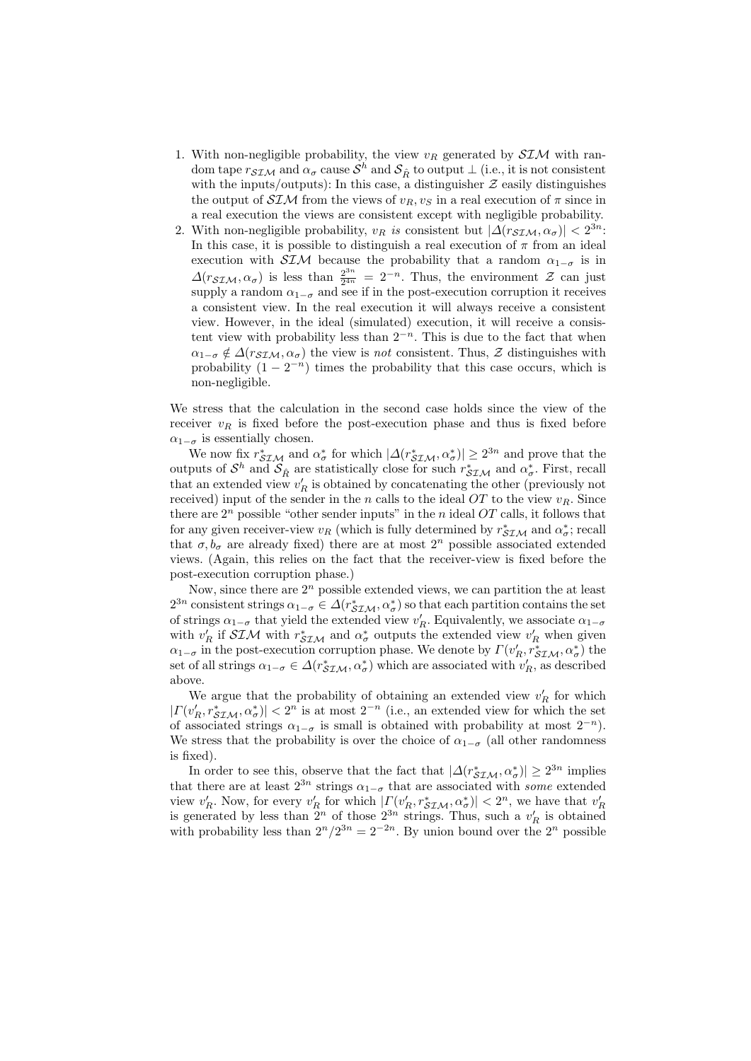- 1. With non-negligible probability, the view  $v_R$  generated by  $SIM$  with random tape  $r_{\mathcal{SIM}}$  and  $\alpha_{\sigma}$  cause  $\mathcal{S}^h$  and  $\mathcal{S}_{\hat{R}}$  to output  $\perp$  (i.e., it is not consistent with the inputs/outputs): In this case, a distinguisher  $Z$  easily distinguishes the output of  $SIM$  from the views of  $v_R, v_S$  in a real execution of  $\pi$  since in a real execution the views are consistent except with negligible probability.
- 2. With non-negligible probability,  $v_R$  *is* consistent but  $|\Delta(r_{\mathcal{SIM}}, \alpha_{\sigma})| < 2^{3n}$ : In this case, it is possible to distinguish a real execution of  $\pi$  from an ideal execution with *SIM* because the probability that a random  $\alpha_{1-\sigma}$  is in  $\Delta(r_{\mathcal{SIM}}, \alpha_{\sigma})$  is less than  $\frac{2^{3n}}{2^{4n}}$  $\frac{2^{3n}}{2^{4n}} = 2^{-n}$ . Thus, the environment  $\mathcal{Z}$  can just supply a random  $\alpha_{1-\sigma}$  and see if in the post-execution corruption it receives a consistent view. In the real execution it will always receive a consistent view. However, in the ideal (simulated) execution, it will receive a consistent view with probability less than 2*<sup>−</sup><sup>n</sup>*. This is due to the fact that when  $\alpha_{1-\sigma} \notin \Delta(r_{STM}, \alpha_{\sigma})$  the view is *not* consistent. Thus,  $\mathcal Z$  distinguishes with probability  $(1 - 2^{-n})$  times the probability that this case occurs, which is non-negligible.

We stress that the calculation in the second case holds since the view of the receiver  $v_R$  is fixed before the post-execution phase and thus is fixed before  $\alpha_{1-\sigma}$  is essentially chosen.

We now fix  $r_{\mathcal{SIM}}^*$  and  $\alpha_\sigma^*$  for which  $|\Delta(r_{\mathcal{SIM}}^*, \alpha_\sigma^*)| \geq 2^{3n}$  and prove that the outputs of  $S^h$  and  $S_{\hat{R}}$  are statistically close for such  $r^*_{\mathcal{SIM}}$  and  $\alpha^*_{\sigma}$ . First, recall that an extended view  $v'_R$  is obtained by concatenating the other (previously not received) input of the sender in the *n* calls to the ideal *OT* to the view *vR*. Since there are  $2^n$  possible "other sender inputs" in the *n* ideal  $OT$  calls, it follows that for any given receiver-view  $v_R$  (which is fully determined by  $r^*_{\mathcal{SIM}}$  and  $\alpha^*_{\sigma}$ ; recall that  $\sigma, b_{\sigma}$  are already fixed) there are at most  $2^{n}$  possible associated extended views. (Again, this relies on the fact that the receiver-view is fixed before the post-execution corruption phase.)

Now, since there are 2*<sup>n</sup>* possible extended views, we can partition the at least  $2^{3n}$  consistent strings  $\alpha_{1-\sigma} \in \Delta(r^*_{\mathcal{SLM}}, \alpha^*_{\sigma})$  so that each partition contains the set of strings  $\alpha_{1-\sigma}$  that yield the extended view  $v'_R$ . Equivalently, we associate  $\alpha_{1-\sigma}$ with  $v'_R$  if  $SLM$  with  $r^*_{SLM}$  and  $\alpha^*_{\sigma}$  outputs the extended view  $v'_R$  when given *α*<sub>1*−σ*</sub> in the post-execution corruption phase. We denote by  $\Gamma(v'_R, r^*_{\mathcal{SIM}}, \alpha^*_{\sigma})$  the set of all strings  $\alpha_{1-\sigma} \in \Delta(r^*_{\mathcal{SIM}}, \alpha^*_{\sigma})$  which are associated with  $v'_R$ , as described above.

We argue that the probability of obtaining an extended view  $v'_R$  for which  $| \Gamma(v'_R, r^*_{\mathcal{SIM}}, \alpha^*_{\sigma}) |$  < 2<sup>*n*</sup> is at most 2<sup>-*n*</sup> (i.e., an extended view for which the set of associated strings  $\alpha_{1-\sigma}$  is small is obtained with probability at most  $2^{-n}$ ). We stress that the probability is over the choice of  $\alpha_{1-\sigma}$  (all other randomness is fixed).

In order to see this, observe that the fact that  $| \Delta(r_{\mathcal{SLM}}^*, \alpha_{\sigma}^*) | \geq 2^{3n}$  implies that there are at least  $2^{3n}$  strings  $\alpha_{1-\sigma}$  that are associated with *some* extended view  $v'_R$ . Now, for every  $v'_R$  for which  $|\Gamma(v'_R, r^*_{\mathcal{SIM}}, \alpha^*_{\sigma})| < 2^n$ , we have that  $v'_R$ is generated by less than  $2^n$  of those  $2^{3n}$  strings. Thus, such a  $v'_R$  is obtained with probability less than  $2^{n}/2^{3n} = 2^{-2n}$ . By union bound over the  $2^{n}$  possible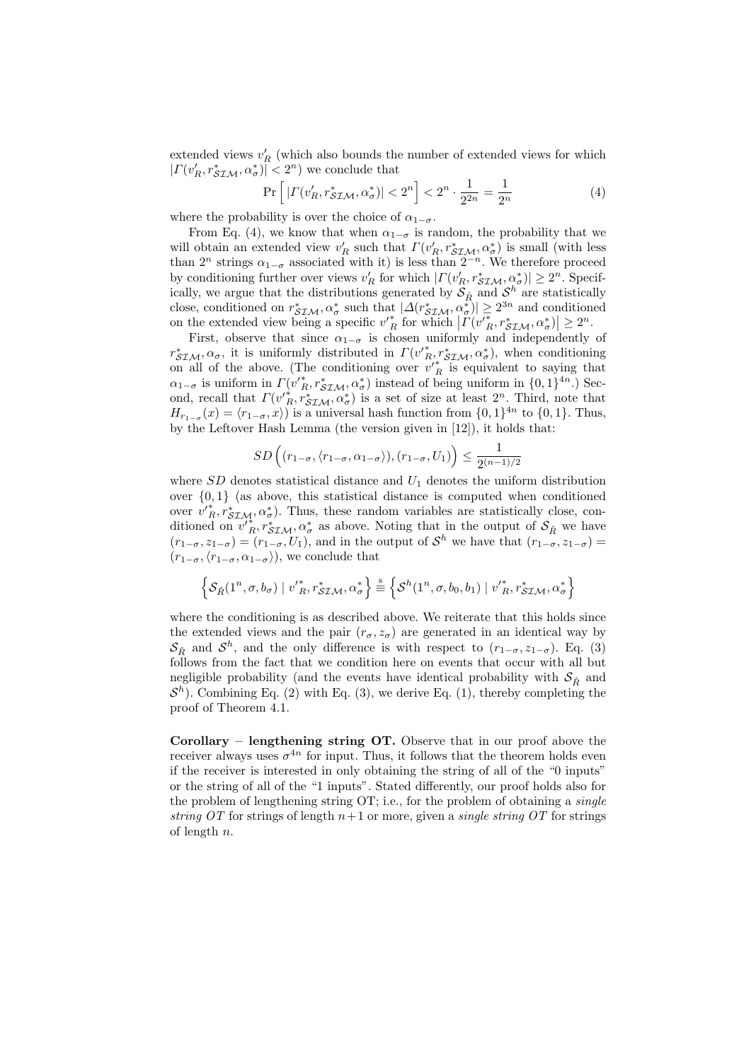extended views  $v'_R$  (which also bounds the number of extended views for which  $| \Gamma(v'_R, r^*_{\mathcal{SIM}}, \alpha^*_{\sigma}) |$  < 2<sup>*n*</sup>) we conclude that

$$
\Pr\left[|T(v_R', r_{\mathcal{SLM}}^*, \alpha_\sigma^*)| < 2^n\right] < 2^n \cdot \frac{1}{2^{2n}} = \frac{1}{2^n} \tag{4}
$$

where the probability is over the choice of  $\alpha_{1-\sigma}$ .

From Eq. (4), we know that when  $\alpha_{1-\sigma}$  is random, the probability that we will obtain an extended view  $v'_R$  such that  $\Gamma(v'_R, r^*_{\mathcal{SIM}}, \alpha^*_{\sigma})$  is small (with less than  $2^n$  strings  $\alpha_{1-\sigma}$  associated with it) is less than  $2^{-n}$ . We therefore proceed by conditioning further over views  $v'_R$  for which  $| \Gamma(v'_R, r^*_{\mathcal{SIM}}, \alpha^*_{\sigma}) | \geq 2^n$ . Specifically, we argue that the distributions generated by  $S_{\hat{R}}$  and  $S^h$  are statistically close, conditioned on  $r_{\mathcal{SIM}}^*$ ,  $\alpha_\sigma^*$  such that  $|\Delta(r_{\mathcal{SIM}}^*, \alpha_\sigma^*)| \geq 2^{3n}$  and conditioned on the extended view being a specific  $v'^{*}_{R}$  for which  $|\Gamma(v'^{*}_{R}, r^{*}_{\mathcal{SIM}}, \alpha^{*}_{\sigma})| \geq 2^{n}$ .

First, observe that since  $\alpha_{1-\sigma}$  is chosen uniformly and independently of *r*<sup>\*</sup><sub>*SIM*</sub>,  $\alpha$ <sub>*σ*</sub>, it is uniformly distributed in  $\Gamma(v^*_{R}$ ,  $r^*_{\mathcal{S}I\mathcal{M}}$ ,  $\alpha^*_{\sigma})$ , when conditioning on all of the above. (The conditioning over  $v'^{*}_{R}$  is equivalent to saying that  $\alpha_{1-\sigma}$  is uniform in  $\Gamma(v'^*_{R}, r^*_{\mathcal{SIM}}, \alpha^*_{\sigma})$  instead of being uniform in  $\{0, 1\}^{4n}$ .) Second, recall that  $\Gamma(v'^*_{R}, r^*_{\mathcal{SIM}}, \alpha^*_{\sigma})$  is a set of size at least  $2^n$ . Third, note that  $H_{r_{1-\sigma}}(x) = \langle r_{1-\sigma}, x \rangle$  is a universal hash function from  $\{0, 1\}^{4n}$  to  $\{0, 1\}$ . Thus, by the Leftover Hash Lemma (the version given in [12]), it holds that:

$$
SD((r_{1-\sigma}, \langle r_{1-\sigma}, \alpha_{1-\sigma} \rangle), (r_{1-\sigma}, U_1)) \leq \frac{1}{2^{(n-1)/2}}
$$

where  $SD$  denotes statistical distance and  $U_1$  denotes the uniform distribution over  $\{0,1\}$  (as above, this statistical distance is computed when conditioned over  $v'_{R}$ ,  $r_{\mathcal{SIM}}^{*}$ ,  $\alpha_{\sigma}^{*}$ ). Thus, these random variables are statistically close, conditioned on  $v^{\prime*}_{R}$ ,  $r^*_{\mathcal{SIM}}$ ,  $\alpha^*_{\sigma}$  as above. Noting that in the output of  $\mathcal{S}_{\hat{R}}$  we have  $(r_{1-\sigma}, z_{1-\sigma}) = (r_{1-\sigma}, U_1)$ , and in the output of  $S^h$  we have that  $(r_{1-\sigma}, z_{1-\sigma}) =$  $(r_{1-\sigma}, \langle r_{1-\sigma}, \alpha_{1-\sigma} \rangle)$ , we conclude that

$$
\left\{ \mathcal{S}_{\hat{R}}(1^n, \sigma, b_{\sigma}) \mid v^{\prime \ast}_{\ R}, r^{\ast}_{\mathcal{SIM}}, \alpha^{\ast}_{\sigma} \right\} \stackrel{\text{s}}{=} \left\{ \mathcal{S}^{h}(1^n, \sigma, b_0, b_1) \mid v^{\prime \ast}_{\ R}, r^{\ast}_{\mathcal{SIM}}, \alpha^{\ast}_{\sigma} \right\}
$$

where the conditioning is as described above. We reiterate that this holds since the extended views and the pair  $(r_{\sigma}, z_{\sigma})$  are generated in an identical way by  $S_{\hat{R}}$  and  $S^h$ , and the only difference is with respect to  $(r_{1-\sigma}, z_{1-\sigma})$ . Eq. (3) follows from the fact that we condition here on events that occur with all but negligible probability (and the events have identical probability with  $S_{\hat{R}}$  and  $S<sup>h</sup>$ ). Combining Eq. (2) with Eq. (3), we derive Eq. (1), thereby completing the proof of Theorem 4.1.

**Corollary – lengthening string OT.** Observe that in our proof above the receiver always uses  $\sigma^{4n}$  for input. Thus, it follows that the theorem holds even if the receiver is interested in only obtaining the string of all of the "0 inputs" or the string of all of the "1 inputs". Stated differently, our proof holds also for the problem of lengthening string OT; i.e., for the problem of obtaining a *single string OT* for strings of length  $n+1$  or more, given a *single string OT* for strings of length *n*.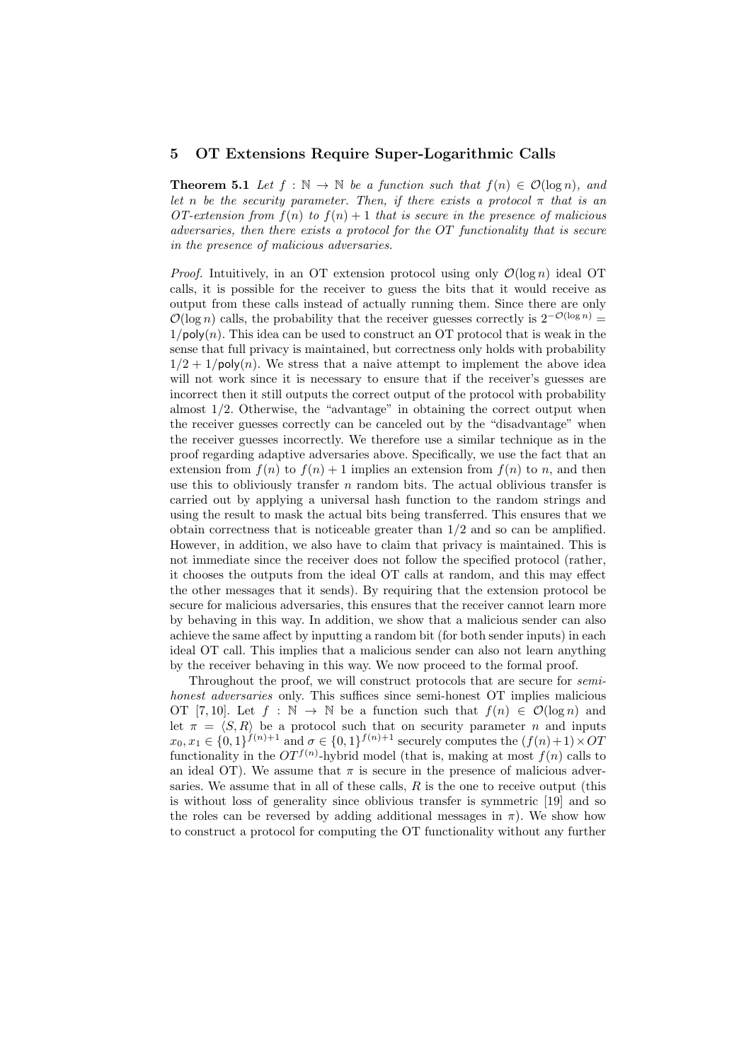#### **5 OT Extensions Require Super-Logarithmic Calls**

**Theorem 5.1** *Let*  $f : \mathbb{N} \to \mathbb{N}$  *be a function such that*  $f(n) \in \mathcal{O}(\log n)$ *, and let n be the security parameter. Then, if there exists a protocol*  $\pi$  *that is an OT-extension from*  $f(n)$  *to*  $f(n) + 1$  *that is secure in the presence of malicious adversaries, then there exists a protocol for the OT functionality that is secure in the presence of malicious adversaries.*

*Proof.* Intuitively, in an OT extension protocol using only  $\mathcal{O}(\log n)$  ideal OT calls, it is possible for the receiver to guess the bits that it would receive as output from these calls instead of actually running them. Since there are only  $\mathcal{O}(\log n)$  calls, the probability that the receiver guesses correctly is  $2^{-\mathcal{O}(\log n)}$  =  $1/poly(n)$ . This idea can be used to construct an OT protocol that is weak in the sense that full privacy is maintained, but correctness only holds with probability  $1/2 + 1/\text{poly}(n)$ . We stress that a naive attempt to implement the above idea will not work since it is necessary to ensure that if the receiver's guesses are incorrect then it still outputs the correct output of the protocol with probability almost 1*/*2. Otherwise, the "advantage" in obtaining the correct output when the receiver guesses correctly can be canceled out by the "disadvantage" when the receiver guesses incorrectly. We therefore use a similar technique as in the proof regarding adaptive adversaries above. Specifically, we use the fact that an extension from  $f(n)$  to  $f(n) + 1$  implies an extension from  $f(n)$  to *n*, and then use this to obliviously transfer *n* random bits. The actual oblivious transfer is carried out by applying a universal hash function to the random strings and using the result to mask the actual bits being transferred. This ensures that we obtain correctness that is noticeable greater than 1*/*2 and so can be amplified. However, in addition, we also have to claim that privacy is maintained. This is not immediate since the receiver does not follow the specified protocol (rather, it chooses the outputs from the ideal OT calls at random, and this may effect the other messages that it sends). By requiring that the extension protocol be secure for malicious adversaries, this ensures that the receiver cannot learn more by behaving in this way. In addition, we show that a malicious sender can also achieve the same affect by inputting a random bit (for both sender inputs) in each ideal OT call. This implies that a malicious sender can also not learn anything by the receiver behaving in this way. We now proceed to the formal proof.

Throughout the proof, we will construct protocols that are secure for *semihonest adversaries* only. This suffices since semi-honest OT implies malicious OT [7, 10]. Let  $f : \mathbb{N} \to \mathbb{N}$  be a function such that  $f(n) \in \mathcal{O}(\log n)$  and let  $\pi = \langle S, R \rangle$  be a protocol such that on security parameter *n* and inputs  $x_0, x_1 \in \{0, 1\}^{f(n)+1}$  and  $\sigma \in \{0, 1\}^{f(n)+1}$  securely computes the  $(f(n)+1) \times \mathcal{O}(\mathcal{O})$ functionality in the  $OT^{f(n)}$ -hybrid model (that is, making at most  $f(n)$  calls to an ideal OT). We assume that  $\pi$  is secure in the presence of malicious adversaries. We assume that in all of these calls, *R* is the one to receive output (this is without loss of generality since oblivious transfer is symmetric [19] and so the roles can be reversed by adding additional messages in  $\pi$ ). We show how to construct a protocol for computing the OT functionality without any further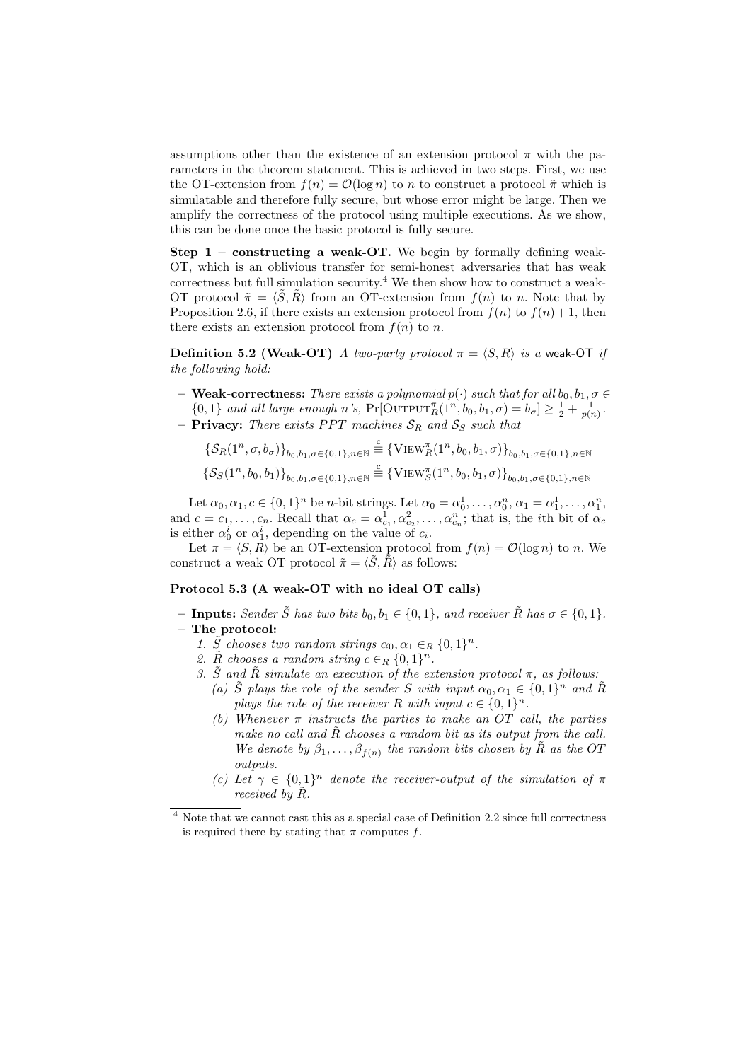assumptions other than the existence of an extension protocol  $\pi$  with the parameters in the theorem statement. This is achieved in two steps. First, we use the OT-extension from  $f(n) = \mathcal{O}(\log n)$  to *n* to construct a protocol  $\tilde{\pi}$  which is simulatable and therefore fully secure, but whose error might be large. Then we amplify the correctness of the protocol using multiple executions. As we show, this can be done once the basic protocol is fully secure.

**Step 1 – constructing a weak-OT.** We begin by formally defining weak-OT, which is an oblivious transfer for semi-honest adversaries that has weak correctness but full simulation security.<sup>4</sup> We then show how to construct a weak-OT protocol  $\tilde{\pi} = \langle \tilde{S}, \tilde{R} \rangle$  from an OT-extension from  $f(n)$  to *n*. Note that by Proposition 2.6, if there exists an extension protocol from  $f(n)$  to  $f(n)+1$ , then there exists an extension protocol from  $f(n)$  to *n*.

**Definition 5.2 (Weak-OT)** *A two-party protocol*  $\pi = \langle S, R \rangle$  *is a* weak-OT *if the following hold:*

- **– Weak-correctness:** *There exists a polynomial*  $p(\cdot)$  *such that for all*  $b_0, b_1, \sigma \in$  $\{0, 1\}$  *and all large enough n*<sup>*'s*</sup>,  $\Pr[\text{OutputT}_R^{\pi}(1^n, b_0, b_1, \sigma) = b_{\sigma}] \ge \frac{1}{2} + \frac{1}{p(n)}$ .
- $-$  **Privacy:** There exists PPT machines  $S_R$  and  $S_S$  such that

$$
\begin{aligned} & \{ \mathcal{S}_{R}(1^{n}, \sigma, b_{\sigma}) \}_{b_{0}, b_{1}, \sigma \in \{0, 1\}, n \in \mathbb{N}} \stackrel{c}{=} \{ \text{View}_{R}^{\pi}(1^{n}, b_{0}, b_{1}, \sigma) \}_{b_{0}, b_{1}, \sigma \in \{0, 1\}, n \in \mathbb{N}} \\ & \{ \mathcal{S}_{S}(1^{n}, b_{0}, b_{1}) \}_{b_{0}, b_{1}, \sigma \in \{0, 1\}, n \in \mathbb{N}} \stackrel{c}{=} \{ \text{View}_{S}^{\pi}(1^{n}, b_{0}, b_{1}, \sigma) \}_{b_{0}, b_{1}, \sigma \in \{0, 1\}, n \in \mathbb{N}} \end{aligned}
$$

Let  $\alpha_0, \alpha_1, c \in \{0, 1\}^n$  be *n*-bit strings. Let  $\alpha_0 = \alpha_0^1, \ldots, \alpha_0^n, \alpha_1 = \alpha_1^1, \ldots, \alpha_1^n$ , and  $c = c_1, \ldots, c_n$ . Recall that  $\alpha_c = \alpha_{c_1}^1, \alpha_{c_2}^2, \ldots, \alpha_{c_n}^n$ ; that is, the *i*th bit of  $\alpha_c$ is either  $\alpha_0^i$  or  $\alpha_1^i$ , depending on the value of  $c_i$ .

Let  $\pi = \langle S, R \rangle$  be an OT-extension protocol from  $f(n) = \mathcal{O}(\log n)$  to *n*. We construct a weak OT protocol  $\tilde{\pi} = \langle \tilde{S}, \tilde{R} \rangle$  as follows:

#### **Protocol 5.3 (A weak-OT with no ideal OT calls)**

- $\mathbf{I}$  **Inputs:** Sender  $\tilde{S}$  has two bits  $b_0, b_1 \in \{0, 1\}$ , and receiver  $\tilde{R}$  has  $\sigma \in \{0, 1\}$ . **– The protocol:**
	- *1.*  $\widetilde{S}$  *chooses two random strings*  $\alpha_0, \alpha_1 \in_R \{0, 1\}^n$ *.*
	- 2.  $\tilde{R}$  *chooses a random string*  $c \in_R \{0,1\}^n$ *.*
	- *3.*  $\tilde{S}$  *and*  $\tilde{R}$  *simulate an execution of the extension protocol*  $\pi$ *, as follows:* 
		- *(a)*  $\tilde{S}$  *plays the role of the sender*  $S$  *with input*  $\alpha_0, \alpha_1 \in \{0, 1\}^n$  *and*  $\tilde{R}$ *plays the role of the receiver*  $R$  *with input*  $c \in \{0,1\}^n$ *.*
		- *(b) Whenever π instructs the parties to make an OT call, the parties make no call and R chooses a random bit as its output from the call. We denote by*  $\beta_1, \ldots, \beta_{f(n)}$  *the random bits chosen by*  $\tilde{R}$  *as the OT outputs.*
		- *(c)* Let  $\gamma \in \{0,1\}^n$  denote the receiver-output of the simulation of  $\pi$ *received by*  $R$ *.*

Note that we cannot cast this as a special case of Definition 2.2 since full correctness is required there by stating that  $\pi$  computes  $f$ .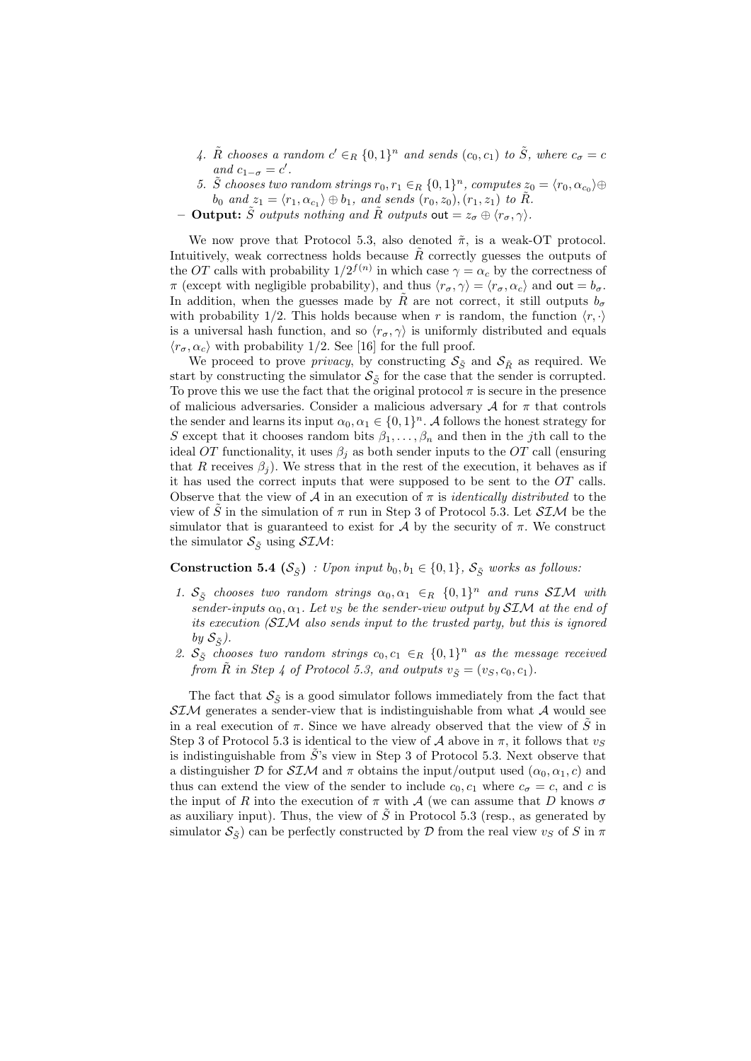- *4.*  $\tilde{R}$  *chooses a random*  $c' \in_R \{0,1\}^n$  *and sends*  $(c_0, c_1)$  *to*  $\tilde{S}$ *, where*  $c_{\sigma} = c$ *and*  $c_{1-\sigma} = c'$ .
- *5.*  $\tilde{S}$  *chooses two random strings*  $r_0, r_1 \in_R \{0, 1\}^n$ , *computes*  $z_0 = \langle r_0, \alpha_{c_0} \rangle \oplus$  $b_0$  *and*  $z_1 = \langle r_1, \alpha_{c_1} \rangle \oplus b_1$ *, and sends*  $(r_0, z_0)$ *,* $(r_1, z_1)$  *to*  $\tilde{R}$ *.*

 $-$  **Output:**  $\tilde{S}$  *outputs* nothing and  $\tilde{R}$  *outputs* out =  $z_{\sigma} \oplus \langle r_{\sigma}, \gamma \rangle$ *.* 

We now prove that Protocol 5.3, also denoted  $\tilde{\pi}$ , is a weak-OT protocol. Intuitively, weak correctness holds because  $\tilde{R}$  correctly guesses the outputs of the *OT* calls with probability  $1/2^{f(n)}$  in which case  $\gamma = \alpha_c$  by the correctness of *π* (except with negligible probability), and thus  $\langle r_{\sigma}, \gamma \rangle = \langle r_{\sigma}, \alpha_c \rangle$  and out =  $b_{\sigma}$ . In addition, when the guesses made by  $\tilde{R}$  are not correct, it still outputs  $b_{\sigma}$ with probability 1/2. This holds because when *r* is random, the function  $\langle r, \cdot \rangle$ is a universal hash function, and so  $\langle r_{\sigma}, \gamma \rangle$  is uniformly distributed and equals  $\langle r_{\sigma}, \alpha_c \rangle$  with probability 1/2. See [16] for the full proof.

We proceed to prove *privacy*, by constructing  $S_{\tilde{S}}$  and  $S_{\tilde{R}}$  as required. We start by constructing the simulator  $S_{\tilde{S}}$  for the case that the sender is corrupted. To prove this we use the fact that the original protocol  $\pi$  is secure in the presence of malicious adversaries. Consider a malicious adversary  $A$  for  $\pi$  that controls the sender and learns its input  $\alpha_0, \alpha_1 \in \{0, 1\}^n$ . *A* follows the honest strategy for *S* except that it chooses random bits  $\beta_1, \ldots, \beta_n$  and then in the *j*th call to the ideal *OT* functionality, it uses  $\beta_i$  as both sender inputs to the *OT* call (ensuring that *R* receives  $\beta_i$ ). We stress that in the rest of the execution, it behaves as if it has used the correct inputs that were supposed to be sent to the *OT* calls. Observe that the view of  $\mathcal A$  in an execution of  $\pi$  is *identically distributed* to the view of  $\tilde{S}$  in the simulation of  $\pi$  run in Step 3 of Protocol 5.3. Let  $\mathcal{SIM}$  be the simulator that is guaranteed to exist for  $A$  by the security of  $\pi$ . We construct the simulator  $S_{\tilde{S}}$  using  $SIM$ :

**Construction 5.4**  $(S_{\tilde{S}})$  *: Upon input*  $b_0, b_1 \in \{0, 1\}$ *,*  $S_{\tilde{S}}$  works as follows:

- *1.*  $S_{\tilde{S}}$  *chooses two random strings*  $\alpha_0, \alpha_1 \in_R \{0, 1\}^n$  *and runs SIM with sender-inputs*  $\alpha_0, \alpha_1$ *. Let*  $v_S$  *be the sender-view output by SIM at the end of its execution (SIM also sends input to the trusted party, but this is ignored by*  $S_{\tilde{S}}$ *).*
- 2.  $S_{\tilde{S}}$  *chooses two random strings*  $c_0, c_1 \in_R \{0, 1\}^n$  *as the message received from*  $\tilde{R}$  *in Step 4 of Protocol 5.3, and outputs*  $v_{\tilde{S}} = (v_S, c_0, c_1)$ *.*

The fact that  $S_{\tilde{S}}$  is a good simulator follows immediately from the fact that *SIM* generates a sender-view that is indistinguishable from what *A* would see in a real execution of  $\pi$ . Since we have already observed that the view of  $\tilde{S}$  in Step 3 of Protocol 5.3 is identical to the view of *A* above in  $\pi$ , it follows that  $v_S$ is indistinguishable from *S*'s view in Step 3 of Protocol 5.3. Next observe that a distinguisher *D* for *SIM* and  $\pi$  obtains the input/output used  $(\alpha_0, \alpha_1, c)$  and thus can extend the view of the sender to include  $c_0, c_1$  where  $c_{\sigma} = c$ , and *c* is the input of *R* into the execution of  $\pi$  with  $\mathcal A$  (we can assume that *D* knows  $\sigma$ as auxiliary input). Thus, the view of  $\tilde{S}$  in Protocol 5.3 (resp., as generated by simulator  $S_{\tilde{S}}$  can be perfectly constructed by *D* from the real view *v<sub>S</sub>* of *S* in  $\pi$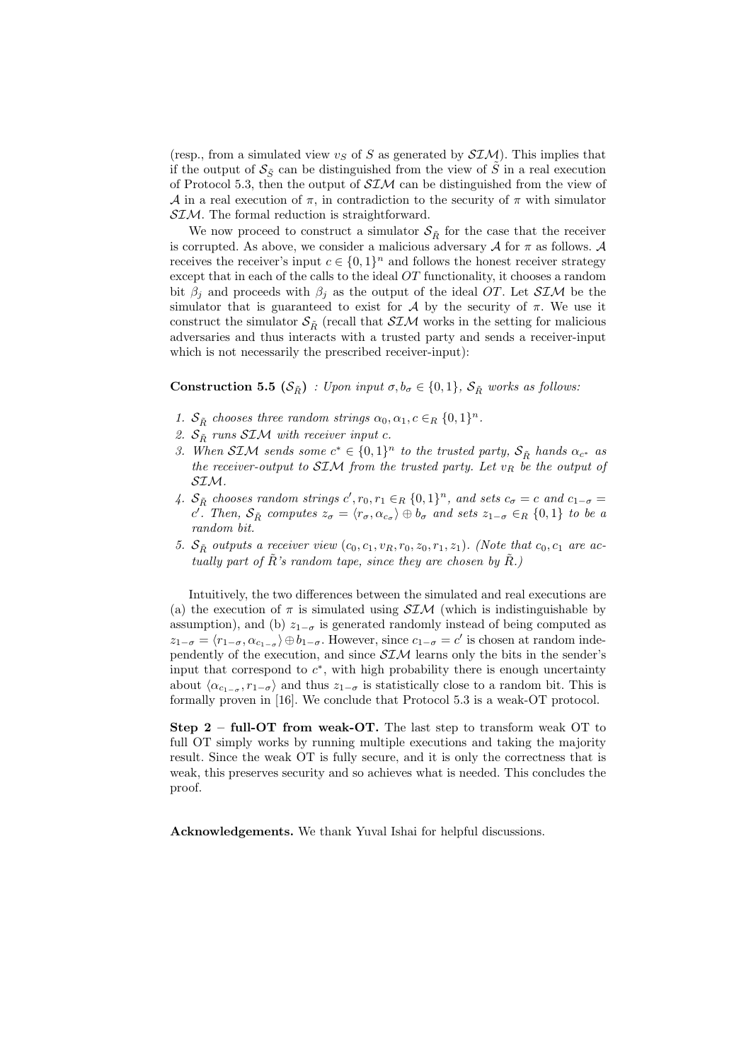(resp., from a simulated view  $v<sub>S</sub>$  of *S* as generated by  $\mathcal{SIM})$ . This implies that if the output of  $S_{\tilde{S}}$  can be distinguished from the view of *S* in a real execution of Protocol 5.3, then the output of *SIM* can be distinguished from the view of *A* in a real execution of  $\pi$ , in contradiction to the security of  $\pi$  with simulator *SIM*. The formal reduction is straightforward.

We now proceed to construct a simulator  $S_{\tilde{R}}$  for the case that the receiver is corrupted. As above, we consider a malicious adversary  $A$  for  $\pi$  as follows.  $A$ receives the receiver's input  $c \in \{0,1\}^n$  and follows the honest receiver strategy except that in each of the calls to the ideal *OT* functionality, it chooses a random bit  $\beta_i$  and proceeds with  $\beta_i$  as the output of the ideal *OT*. Let *SIM* be the simulator that is guaranteed to exist for  $\mathcal A$  by the security of  $\pi$ . We use it construct the simulator  $S_{\tilde{R}}$  (recall that  $SIM$  works in the setting for malicious adversaries and thus interacts with a trusted party and sends a receiver-input which is not necessarily the prescribed receiver-input):

**Construction 5.5**  $(S_{\tilde{R}})$  *: Upon input*  $\sigma, b_{\sigma} \in \{0, 1\}$ *,*  $S_{\tilde{R}}$  works as follows:

- *1.*  $S_{\tilde{R}}$  *chooses three random strings*  $\alpha_0, \alpha_1, c \in_R \{0, 1\}^n$ *.*
- 2.  $S_{\tilde{R}}$  *runs SIM with receiver input c.*
- *3. When SIM sends some*  $c^* \in \{0,1\}^n$  *to the trusted party,*  $S_{\tilde{R}}$  *hands*  $\alpha_{c^*}$  *as the receiver-output to SIM from the trusted party. Let v<sup>R</sup> be the output of SIM.*
- 4.  $S_{\tilde{R}}$  chooses random strings  $c', r_0, r_1 \in_R \{0, 1\}^n$ , and sets  $c_{\sigma} = c$  and  $c_{1-\sigma} =$ c'. Then,  $S_{\tilde{R}}$  computes  $z_{\sigma} = \langle r_{\sigma}, \alpha_{c_{\sigma}} \rangle \oplus b_{\sigma}$  and sets  $z_{1-\sigma} \in_R \{0,1\}$  to be a *random bit.*
- *5.*  $S_{\tilde{R}}$  *outputs a receiver view*  $(c_0, c_1, v_R, r_0, z_0, r_1, z_1)$ *. (Note that*  $c_0, c_1$  *are actually part of*  $\hat{R}$ 's random tape, since they are chosen by  $\hat{R}$ *.*)

Intuitively, the two differences between the simulated and real executions are (a) the execution of  $\pi$  is simulated using  $\mathcal{SIM}$  (which is indistinguishable by assumption), and (b)  $z_{1-\sigma}$  is generated randomly instead of being computed as  $z_{1-\sigma} = \langle r_{1-\sigma}, \alpha_{c_{1-\sigma}} \rangle \oplus b_{1-\sigma}$ . However, since  $c_{1-\sigma} = c'$  is chosen at random independently of the execution, and since *SIM* learns only the bits in the sender's input that correspond to  $c^*$ , with high probability there is enough uncertainty about  $\langle \alpha_{c_1-\sigma}, r_{1-\sigma} \rangle$  and thus  $z_{1-\sigma}$  is statistically close to a random bit. This is formally proven in [16]. We conclude that Protocol 5.3 is a weak-OT protocol.

**Step 2 – full-OT from weak-OT.** The last step to transform weak OT to full OT simply works by running multiple executions and taking the majority result. Since the weak OT is fully secure, and it is only the correctness that is weak, this preserves security and so achieves what is needed. This concludes the proof.

**Acknowledgements.** We thank Yuval Ishai for helpful discussions.